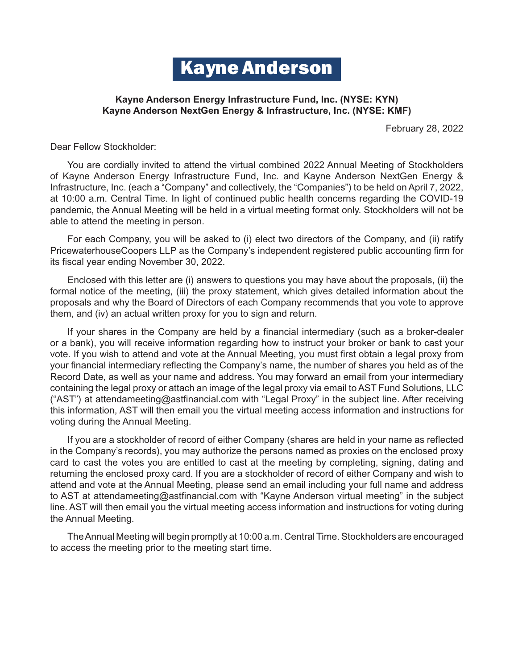# Kayne Anderson

# **Kayne Anderson Energy Infrastructure Fund, Inc. (NYSE: KYN) Kayne Anderson NextGen Energy & Infrastructure, Inc. (NYSE: KMF)**

February 28, 2022

Dear Fellow Stockholder:

You are cordially invited to attend the virtual combined 2022 Annual Meeting of Stockholders of Kayne Anderson Energy Infrastructure Fund, Inc. and Kayne Anderson NextGen Energy & Infrastructure, Inc. (each a "Company" and collectively, the "Companies") to be held on April 7, 2022, at 10:00 a.m. Central Time. In light of continued public health concerns regarding the COVID-19 pandemic, the Annual Meeting will be held in a virtual meeting format only. Stockholders will not be able to attend the meeting in person.

For each Company, you will be asked to (i) elect two directors of the Company, and (ii) ratify PricewaterhouseCoopers LLP as the Company's independent registered public accounting firm for its fiscal year ending November 30, 2022.

Enclosed with this letter are (i) answers to questions you may have about the proposals, (ii) the formal notice of the meeting, (iii) the proxy statement, which gives detailed information about the proposals and why the Board of Directors of each Company recommends that you vote to approve them, and (iv) an actual written proxy for you to sign and return.

If your shares in the Company are held by a financial intermediary (such as a broker-dealer or a bank), you will receive information regarding how to instruct your broker or bank to cast your vote. If you wish to attend and vote at the Annual Meeting, you must first obtain a legal proxy from your financial intermediary reflecting the Company's name, the number of shares you held as of the Record Date, as well as your name and address. You may forward an email from your intermediary containing the legal proxy or attach an image of the legal proxy via email to AST Fund Solutions, LLC ("AST") at [attendameeting@astfinancial.com w](mailto:attendameeting@astfinancial.com)ith "Legal Proxy" in the subject line. After receiving this information, AST will then email you the virtual meeting access information and instructions for voting during the Annual Meeting.

If you are a stockholder of record of either Company (shares are held in your name as reflected in the Company's records), you may authorize the persons named as proxies on the enclosed proxy card to cast the votes you are entitled to cast at the meeting by completing, signing, dating and returning the enclosed proxy card. If you are a stockholder of record of either Company and wish to attend and vote at the Annual Meeting, please send an email including your full name and address to AST at [attendameeting@astfinancial.com w](mailto:attendameeting@astfinancial.com)ith "Kayne Anderson virtual meeting" in the subject line. AST will then email you the virtual meeting access information and instructions for voting during the Annual Meeting.

The Annual Meeting will begin promptly at 10:00 a.m. Central Time. Stockholders are encouraged to access the meeting prior to the meeting start time.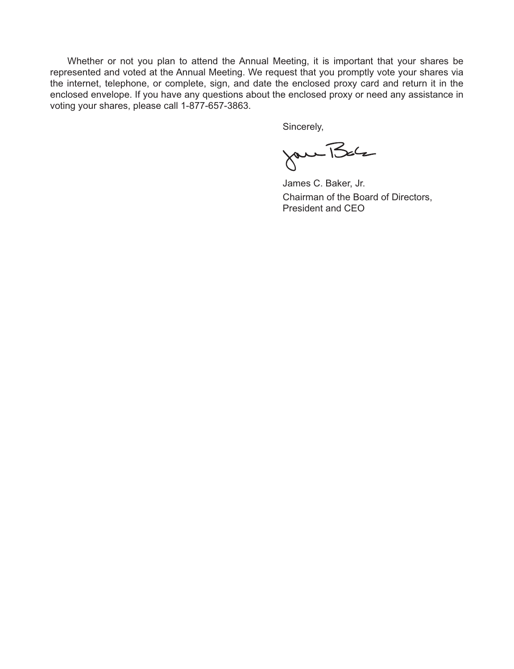Whether or not you plan to attend the Annual Meeting, it is important that your shares be represented and voted at the Annual Meeting. We request that you promptly vote your shares via the internet, telephone, or complete, sign, and date the enclosed proxy card and return it in the enclosed envelope. If you have any questions about the enclosed proxy or need any assistance in voting your shares, please call 1-877-657-3863.

Sincerely,

Jan Balz

James C. Baker, Jr. Chairman of the Board of Directors, President and CEO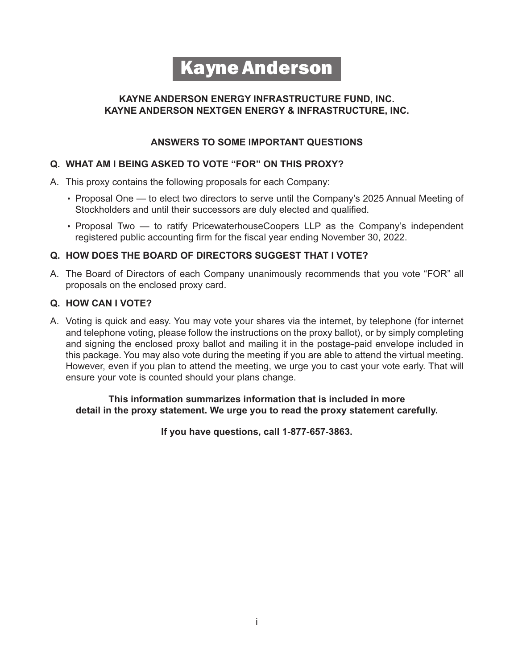# Kayne Anderson

# **KAYNE ANDERSON ENERGY INFRASTRUCTURE FUND, INC. KAYNE ANDERSON NEXTGEN ENERGY & INFRASTRUCTURE, INC.**

# **ANSWERS TO SOME IMPORTANT QUESTIONS**

# **Q. WHAT AM I BEING ASKED TO VOTE "FOR" ON THIS PROXY?**

- A. This proxy contains the following proposals for each Company:
	- Proposal One to elect two directors to serve until the Company's 2025 Annual Meeting of Stockholders and until their successors are duly elected and qualified.
	- Proposal Two  $-$  to ratify PricewaterhouseCoopers LLP as the Company's independent registered public accounting firm for the fiscal year ending November 30, 2022.

# **Q. HOW DOES THE BOARD OF DIRECTORS SUGGEST THAT I VOTE?**

A. The Board of Directors of each Company unanimously recommends that you vote "FOR" all proposals on the enclosed proxy card.

# **Q. HOW CAN I VOTE?**

A. Voting is quick and easy. You may vote your shares via the internet, by telephone (for internet and telephone voting, please follow the instructions on the proxy ballot), or by simply completing and signing the enclosed proxy ballot and mailing it in the postage-paid envelope included in this package. You may also vote during the meeting if you are able to attend the virtual meeting. However, even if you plan to attend the meeting, we urge you to cast your vote early. That will ensure your vote is counted should your plans change.

# **This information summarizes information that is included in more detail in the proxy statement. We urge you to read the proxy statement carefully.**

**If you have questions, call 1-877-657-3863.**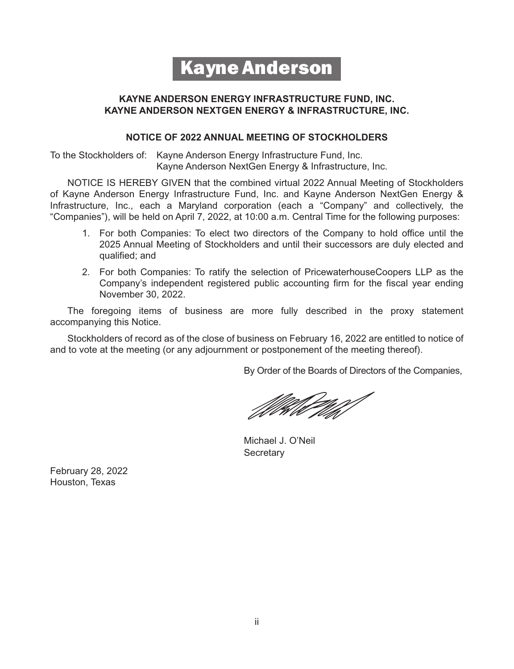# Kayne Anderson

# **KAYNE ANDERSON ENERGY INFRASTRUCTURE FUND, INC. KAYNE ANDERSON NEXTGEN ENERGY & INFRASTRUCTURE, INC.**

# **NOTICE OF 2022 ANNUAL MEETING OF STOCKHOLDERS**

To the Stockholders of: Kayne Anderson Energy Infrastructure Fund, Inc. Kayne Anderson NextGen Energy & Infrastructure, Inc.

NOTICE IS HEREBY GIVEN that the combined virtual 2022 Annual Meeting of Stockholders of Kayne Anderson Energy Infrastructure Fund, Inc. and Kayne Anderson NextGen Energy & Infrastructure, Inc., each a Maryland corporation (each a "Company" and collectively, the "Companies"), will be held on April 7, 2022, at 10:00 a.m. Central Time for the following purposes:

- 1. For both Companies: To elect two directors of the Company to hold office until the 2025 Annual Meeting of Stockholders and until their successors are duly elected and qualified; and
- 2. For both Companies: To ratify the selection of PricewaterhouseCoopers LLP as the Company's independent registered public accounting firm for the fiscal year ending November 30, 2022.

The foregoing items of business are more fully described in the proxy statement accompanying this Notice.

Stockholders of record as of the close of business on February 16, 2022 are entitled to notice of and to vote at the meeting (or any adjournment or postponement of the meeting thereof).

By Order of the Boards of Directors of the Companies,

Michael J. O'Neil **Secretary** 

February 28, 2022 Houston, Texas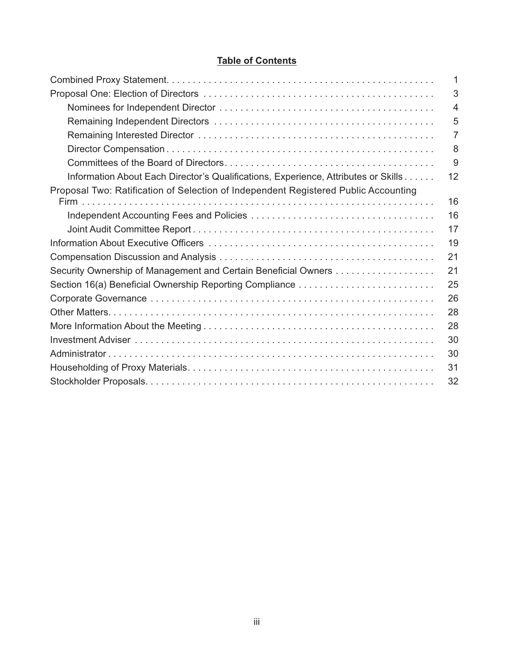# **Table of Contents**

|                                                                                     | 1  |
|-------------------------------------------------------------------------------------|----|
|                                                                                     | 3  |
|                                                                                     | 4  |
|                                                                                     | 5  |
|                                                                                     | 7  |
|                                                                                     | 8  |
|                                                                                     | 9  |
| Information About Each Director's Qualifications, Experience, Attributes or Skills  | 12 |
| Proposal Two: Ratification of Selection of Independent Registered Public Accounting |    |
|                                                                                     | 16 |
|                                                                                     | 16 |
|                                                                                     | 17 |
|                                                                                     | 19 |
|                                                                                     | 21 |
| Security Ownership of Management and Certain Beneficial Owners                      | 21 |
| Section 16(a) Beneficial Ownership Reporting Compliance                             | 25 |
|                                                                                     | 26 |
|                                                                                     | 28 |
|                                                                                     | 28 |
|                                                                                     | 30 |
|                                                                                     | 30 |
|                                                                                     | 31 |
|                                                                                     | 32 |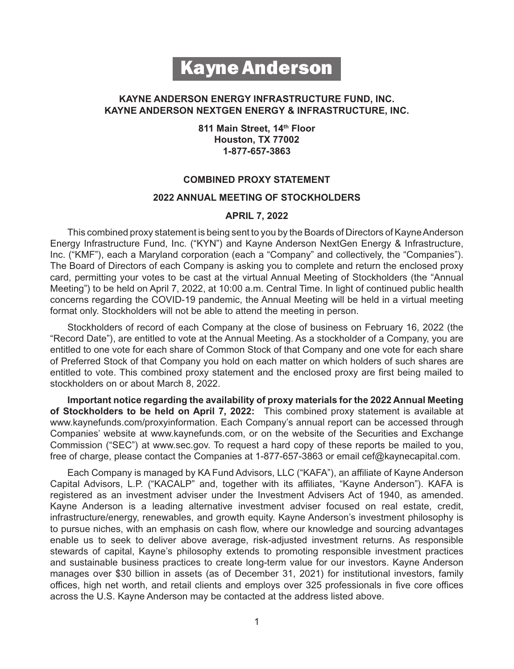# Kayne Anderson

# **KAYNE ANDERSON ENERGY INFRASTRUCTURE FUND, INC. KAYNE ANDERSON NEXTGEN ENERGY & INFRASTRUCTURE, INC.**

**811 Main Street, 14th Floor Houston, TX 77002 1-877-657-3863**

# **COMBINED PROXY STATEMENT**

## **2022 ANNUAL MEETING OF STOCKHOLDERS**

#### **APRIL 7, 2022**

This combined proxy statement is being sent to you by the Boards of Directors of Kayne Anderson Energy Infrastructure Fund, Inc. ("KYN") and Kayne Anderson NextGen Energy & Infrastructure, Inc. ("KMF"), each a Maryland corporation (each a "Company" and collectively, the "Companies"). The Board of Directors of each Company is asking you to complete and return the enclosed proxy card, permitting your votes to be cast at the virtual Annual Meeting of Stockholders (the "Annual Meeting") to be held on April 7, 2022, at 10:00 a.m. Central Time. In light of continued public health concerns regarding the COVID-19 pandemic, the Annual Meeting will be held in a virtual meeting format only. Stockholders will not be able to attend the meeting in person.

Stockholders of record of each Company at the close of business on February 16, 2022 (the "Record Date"), are entitled to vote at the Annual Meeting. As a stockholder of a Company, you are entitled to one vote for each share of Common Stock of that Company and one vote for each share of Preferred Stock of that Company you hold on each matter on which holders of such shares are entitled to vote. This combined proxy statement and the enclosed proxy are first being mailed to stockholders on or about March 8, 2022.

**Important notice regarding the availability of proxy materials for the 2022 Annual Meeting of Stockholders to be held on April 7, 2022:** This combined proxy statement is available at [www.kaynefunds.com/proxyinformation.](http://www.kaynefunds.com/proxyinformation) Each Company's annual report can be accessed through Companies' website at [www.kaynefunds.com,](http://www.kaynefunds.com/) or on the website of the Securities and Exchange Commission ("SEC") at [www.sec.gov.](http://www.sec.gov/) To request a hard copy of these reports be mailed to you, free of charge, please contact the Companies at 1-877-657-3863 or email [cef@kaynecapital.com.](mailto:cef@kaynecapital.com)

Each Company is managed by KA Fund Advisors, LLC ("KAFA"), an affiliate of Kayne Anderson Capital Advisors, L.P. ("KACALP" and, together with its affiliates, "Kayne Anderson"). KAFA is registered as an investment adviser under the Investment Advisers Act of 1940, as amended. Kayne Anderson is a leading alternative investment adviser focused on real estate, credit, infrastructure/energy, renewables, and growth equity. Kayne Anderson's investment philosophy is to pursue niches, with an emphasis on cash flow, where our knowledge and sourcing advantages enable us to seek to deliver above average, risk-adjusted investment returns. As responsible stewards of capital, Kayne's philosophy extends to promoting responsible investment practices and sustainable business practices to create long-term value for our investors. Kayne Anderson manages over \$30 billion in assets (as of December 31, 2021) for institutional investors, family offices, high net worth, and retail clients and employs over 325 professionals in five core offices across the U.S. Kayne Anderson may be contacted at the address listed above.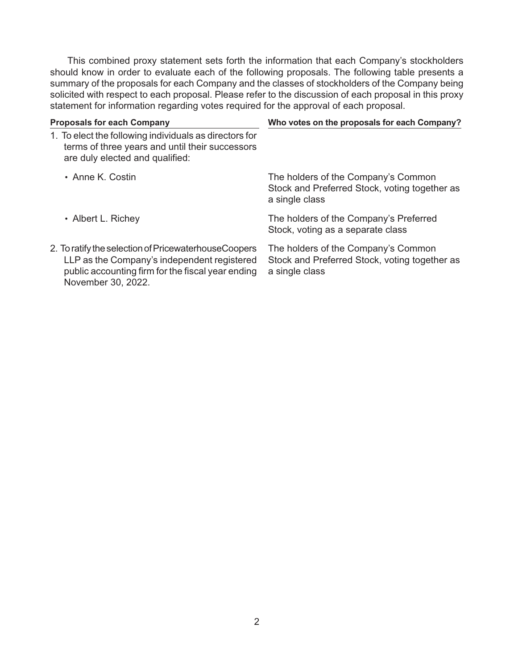This combined proxy statement sets forth the information that each Company's stockholders should know in order to evaluate each of the following proposals. The following table presents a summary of the proposals for each Company and the classes of stockholders of the Company being solicited with respect to each proposal. Please refer to the discussion of each proposal in this proxy statement for information regarding votes required for the approval of each proposal.

|                    | <b>Proposals for each Company</b>                                                                                                                                              | Who votes on the proposals for each Company?                                                           |
|--------------------|--------------------------------------------------------------------------------------------------------------------------------------------------------------------------------|--------------------------------------------------------------------------------------------------------|
|                    | 1. To elect the following individuals as directors for<br>terms of three years and until their successors<br>are duly elected and qualified:                                   |                                                                                                        |
| • Anne K. Costin   |                                                                                                                                                                                | The holders of the Company's Common<br>Stock and Preferred Stock, voting together as<br>a single class |
| • Albert L. Richey |                                                                                                                                                                                | The holders of the Company's Preferred<br>Stock, voting as a separate class                            |
|                    | 2. To ratify the selection of PricewaterhouseCoopers<br>LLP as the Company's independent registered<br>public accounting firm for the fiscal year ending<br>November 30, 2022. | The holders of the Company's Common<br>Stock and Preferred Stock, voting together as<br>a single class |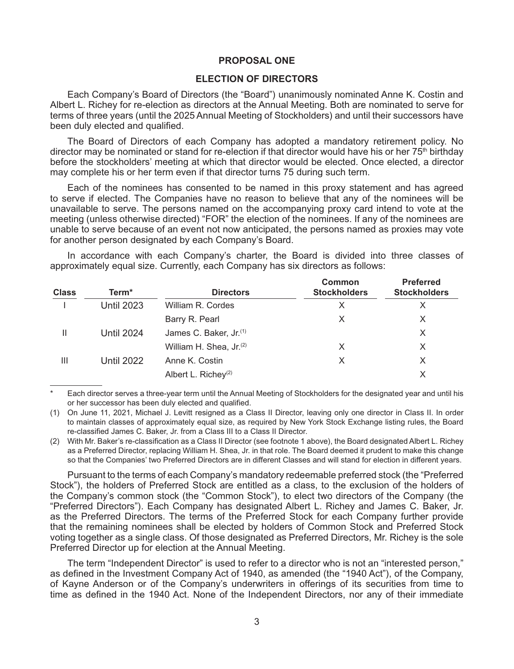#### **PROPOSAL ONE**

# **ELECTION OF DIRECTORS**

Each Company's Board of Directors (the "Board") unanimously nominated Anne K. Costin and Albert L. Richey for re-election as directors at the Annual Meeting. Both are nominated to serve for terms of three years (until the 2025 Annual Meeting of Stockholders) and until their successors have been duly elected and qualified.

The Board of Directors of each Company has adopted a mandatory retirement policy. No director may be nominated or stand for re-election if that director would have his or her 75<sup>th</sup> birthday before the stockholders' meeting at which that director would be elected. Once elected, a director may complete his or her term even if that director turns 75 during such term.

Each of the nominees has consented to be named in this proxy statement and has agreed to serve if elected. The Companies have no reason to believe that any of the nominees will be unavailable to serve. The persons named on the accompanying proxy card intend to vote at the meeting (unless otherwise directed) "FOR" the election of the nominees. If any of the nominees are unable to serve because of an event not now anticipated, the persons named as proxies may vote for another person designated by each Company's Board.

In accordance with each Company's charter, the Board is divided into three classes of approximately equal size. Currently, each Company has six directors as follows:

| <b>Class</b> | Term <sup>*</sup> | <b>Directors</b>                    | <b>Common</b><br><b>Stockholders</b> | <b>Preferred</b><br><b>Stockholders</b> |
|--------------|-------------------|-------------------------------------|--------------------------------------|-----------------------------------------|
|              | <b>Until 2023</b> | William R. Cordes                   |                                      | Х                                       |
|              |                   | Barry R. Pearl                      |                                      | X                                       |
| Ш            | <b>Until 2024</b> | James C. Baker, Jr. <sup>(1)</sup>  |                                      | X                                       |
|              |                   | William H. Shea, Jr. <sup>(2)</sup> | X                                    | X                                       |
| Ш            | <b>Until 2022</b> | Anne K. Costin                      | X                                    | X                                       |
|              |                   | Albert L. Richey <sup>(2)</sup>     |                                      | X                                       |

Each director serves a three-year term until the Annual Meeting of Stockholders for the designated year and until his or her successor has been duly elected and qualified.

(1) On June 11, 2021, Michael J. Levitt resigned as a Class II Director, leaving only one director in Class II. In order to maintain classes of approximately equal size, as required by New York Stock Exchange listing rules, the Board re-classified James C. Baker, Jr. from a Class III to a Class II Director.

(2) With Mr. Baker's re-classification as a Class II Director (see footnote 1 above), the Board designated Albert L. Richey as a Preferred Director, replacing William H. Shea, Jr. in that role. The Board deemed it prudent to make this change so that the Companies' two Preferred Directors are in different Classes and will stand for election in different years.

Pursuant to the terms of each Company's mandatory redeemable preferred stock (the "Preferred Stock"), the holders of Preferred Stock are entitled as a class, to the exclusion of the holders of the Company's common stock (the "Common Stock"), to elect two directors of the Company (the "Preferred Directors"). Each Company has designated Albert L. Richey and James C. Baker, Jr. as the Preferred Directors. The terms of the Preferred Stock for each Company further provide that the remaining nominees shall be elected by holders of Common Stock and Preferred Stock voting together as a single class. Of those designated as Preferred Directors, Mr. Richey is the sole Preferred Director up for election at the Annual Meeting.

The term "Independent Director" is used to refer to a director who is not an "interested person," as defined in the Investment Company Act of 1940, as amended (the "1940 Act"), of the Company, of Kayne Anderson or of the Company's underwriters in offerings of its securities from time to time as defined in the 1940 Act. None of the Independent Directors, nor any of their immediate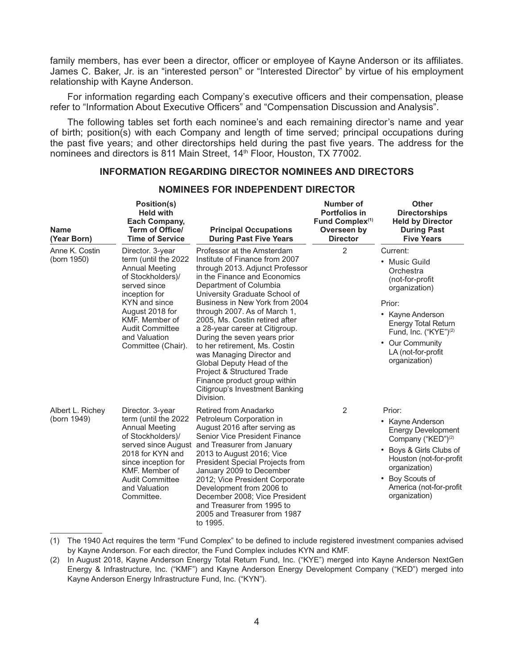family members, has ever been a director, officer or employee of Kayne Anderson or its affiliates. James C. Baker, Jr. is an "interested person" or "Interested Director" by virtue of his employment relationship with Kayne Anderson.

For information regarding each Company's executive officers and their compensation, please refer to "Information About Executive Officers" and "Compensation Discussion and Analysis".

The following tables set forth each nominee's and each remaining director's name and year of birth; position(s) with each Company and length of time served; principal occupations during the past five years; and other directorships held during the past five years. The address for the nominees and directors is 811 Main Street, 14<sup>th</sup> Floor, Houston, TX 77002.

# **INFORMATION REGARDING DIRECTOR NOMINEES AND DIRECTORS**

| <b>Name</b><br>(Year Born)      | Position(s)<br><b>Held with</b><br><b>Each Company,</b><br><b>Term of Office/</b><br><b>Time of Service</b>                                                                                                                                    | <b>Principal Occupations</b><br><b>During Past Five Years</b>                                                                                                                                                                                                                                                                                                                                                                                                                                                                                                            | Number of<br>Portfolios in<br>Fund Complex <sup>(1)</sup><br>Overseen by<br><b>Director</b> | <b>Other</b><br><b>Directorships</b><br><b>Held by Director</b><br><b>During Past</b><br><b>Five Years</b>                                                                                                                            |
|---------------------------------|------------------------------------------------------------------------------------------------------------------------------------------------------------------------------------------------------------------------------------------------|--------------------------------------------------------------------------------------------------------------------------------------------------------------------------------------------------------------------------------------------------------------------------------------------------------------------------------------------------------------------------------------------------------------------------------------------------------------------------------------------------------------------------------------------------------------------------|---------------------------------------------------------------------------------------------|---------------------------------------------------------------------------------------------------------------------------------------------------------------------------------------------------------------------------------------|
| Anne K. Costin<br>(born 1950)   | Director. 3-year<br>term (until the 2022<br><b>Annual Meeting</b><br>of Stockholders)/<br>served since<br>inception for<br>KYN and since<br>August 2018 for<br>KMF. Member of<br><b>Audit Committee</b><br>and Valuation<br>Committee (Chair). | Professor at the Amsterdam<br>Institute of Finance from 2007<br>through 2013. Adjunct Professor<br>in the Finance and Economics<br>Department of Columbia<br>University Graduate School of<br>Business in New York from 2004<br>through 2007. As of March 1,<br>2005, Ms. Costin retired after<br>a 28-year career at Citigroup.<br>During the seven years prior<br>to her retirement, Ms. Costin<br>was Managing Director and<br>Global Deputy Head of the<br>Project & Structured Trade<br>Finance product group within<br>Citigroup's Investment Banking<br>Division. | $\overline{2}$                                                                              | Current:<br>• Music Guild<br>Orchestra<br>(not-for-profit<br>organization)<br>Prior:<br>• Kayne Anderson<br><b>Energy Total Return</b><br>Fund, Inc. ("KYE") <sup>(2)</sup><br>• Our Community<br>LA (not-for-profit<br>organization) |
| Albert L. Richey<br>(born 1949) | Director. 3-year<br>term (until the 2022<br><b>Annual Meeting</b><br>of Stockholders)/<br>2018 for KYN and<br>since inception for<br>KMF. Member of<br><b>Audit Committee</b><br>and Valuation<br>Committee.                                   | Retired from Anadarko<br>Petroleum Corporation in<br>August 2016 after serving as<br>Senior Vice President Finance<br>served since August and Treasurer from January<br>2013 to August 2016; Vice<br>President Special Projects from<br>January 2009 to December<br>2012; Vice President Corporate<br>Development from 2006 to<br>December 2008; Vice President<br>and Treasurer from 1995 to<br>2005 and Treasurer from 1987<br>to 1995.                                                                                                                                | 2                                                                                           | Prior:<br>Kayne Anderson<br><b>Energy Development</b><br>Company ("KED") <sup>(2)</sup><br>• Boys & Girls Clubs of<br>Houston (not-for-profit<br>organization)<br>Boy Scouts of<br>America (not-for-profit<br>organization)           |

# **NOMINEES FOR INDEPENDENT DIRECTOR**

<sup>(1)</sup> The 1940 Act requires the term "Fund Complex" to be defined to include registered investment companies advised by Kayne Anderson. For each director, the Fund Complex includes KYN and KMF.

<sup>(2)</sup> In August 2018, Kayne Anderson Energy Total Return Fund, Inc. ("KYE") merged into Kayne Anderson NextGen Energy & Infrastructure, Inc. ("KMF") and Kayne Anderson Energy Development Company ("KED") merged into Kayne Anderson Energy Infrastructure Fund, Inc. ("KYN").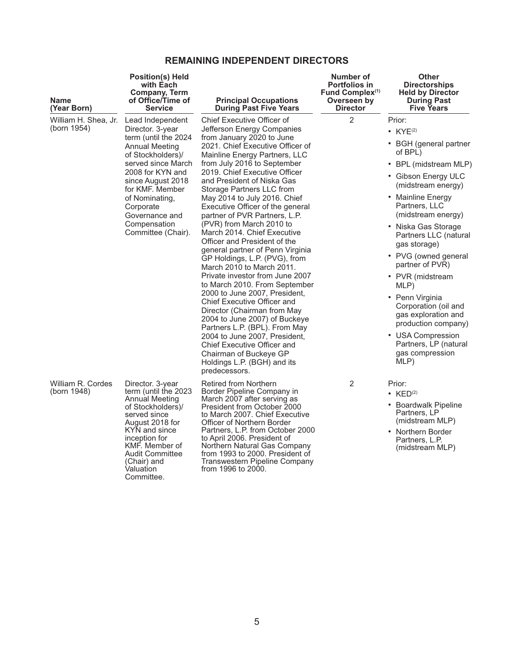# **REMAINING INDEPENDENT DIRECTORS**

| <b>Name</b><br>(Year Born)          | <b>Position(s) Held</b><br>with Each<br><b>Company, Term</b><br>of Office/Time of<br><b>Service</b>                                                                                                                                                                          | <b>Principal Occupations</b><br><b>During Past Five Years</b>                                                                                                                                                                                                                                                                                                                                                                                                                                                                                                                                                                                                                                                                                                                                                                                                                                                                                                                        | Number of<br><b>Portfolios in</b><br>Fund Complex <sup>(1)</sup><br>Overseen by<br><b>Director</b> | <b>Other</b><br><b>Directorships</b><br><b>Held by Director</b><br><b>During Past</b><br><b>Five Years</b>                                                                                                                                                                                                                                                                                                                                                                                              |
|-------------------------------------|------------------------------------------------------------------------------------------------------------------------------------------------------------------------------------------------------------------------------------------------------------------------------|--------------------------------------------------------------------------------------------------------------------------------------------------------------------------------------------------------------------------------------------------------------------------------------------------------------------------------------------------------------------------------------------------------------------------------------------------------------------------------------------------------------------------------------------------------------------------------------------------------------------------------------------------------------------------------------------------------------------------------------------------------------------------------------------------------------------------------------------------------------------------------------------------------------------------------------------------------------------------------------|----------------------------------------------------------------------------------------------------|---------------------------------------------------------------------------------------------------------------------------------------------------------------------------------------------------------------------------------------------------------------------------------------------------------------------------------------------------------------------------------------------------------------------------------------------------------------------------------------------------------|
| William H. Shea, Jr.<br>(born 1954) | Lead Independent<br>Director. 3-year<br>term (until the 2024<br>Annual Meeting<br>of Stockholders)/<br>served since March<br>2008 for KYN and<br>since August 2018<br>for KMF. Member<br>of Nominating,<br>Corporate<br>Governance and<br>Compensation<br>Committee (Chair). | Chief Executive Officer of<br>Jefferson Energy Companies<br>from January 2020 to June<br>2021. Chief Executive Officer of<br>Mainline Energy Partners, LLC<br>from July 2016 to September<br>2019. Chief Executive Officer<br>and President of Niska Gas<br>Storage Partners LLC from<br>May 2014 to July 2016. Chief<br>Executive Officer of the general<br>partner of PVR Partners, L.P.<br>(PVR) from March 2010 to<br>March 2014. Chief Executive<br>Officer and President of the<br>general partner of Penn Virginia<br>GP Holdings, L.P. (PVG), from<br>March 2010 to March 2011.<br>Private investor from June 2007<br>to March 2010. From September<br>2000 to June 2007, President,<br><b>Chief Executive Officer and</b><br>Director (Chairman from May<br>2004 to June 2007) of Buckeye<br>Partners L.P. (BPL). From May<br>2004 to June 2007, President,<br><b>Chief Executive Officer and</b><br>Chairman of Buckeye GP<br>Holdings L.P. (BGH) and its<br>predecessors. | $\overline{2}$                                                                                     | Prior:<br>• $KYE^{(2)}$<br>• BGH (general partner<br>of BPL)<br>• BPL (midstream MLP)<br>• Gibson Energy ULC<br>(midstream energy)<br>• Mainline Energy<br>Partners, LLC<br>(midstream energy)<br>• Niska Gas Storage<br>Partners LLC (natural<br>gas storage)<br>• PVG (owned general<br>partner of PVR)<br>• PVR (midstream<br>MLP)<br>• Penn Virginia<br>Corporation (oil and<br>gas exploration and<br>production company)<br>• USA Compression<br>Partners, LP (natural<br>gas compression<br>MLP) |
| William R. Cordes<br>(born 1948)    | Director. 3-year<br>term (until the 2023<br>Annual Meeting<br>of Stockholders)/<br>served since<br>August 2018 for<br>KYN and since<br>inception for<br>KMF. Member of<br><b>Audit Committee</b><br>(Chair) and<br>Valuation<br>Committee.                                   | Retired from Northern<br>Border Pipeline Company in<br>March 2007 after serving as<br>President from October 2000<br>to March 2007. Chief Executive<br>Officer of Northern Border<br>Partners, L.P. from October 2000<br>to April 2006. President of<br>Northern Natural Gas Company<br>from 1993 to 2000. President of<br><b>Transwestern Pipeline Company</b><br>from 1996 to 2000.                                                                                                                                                                                                                                                                                                                                                                                                                                                                                                                                                                                                | 2                                                                                                  | Prior:<br>• $KED(2)$<br>• Boardwalk Pipeline<br>Partners, LP<br>(midstream MLP)<br>• Northern Border<br>Partners, L.P.<br>(midstream MLP)                                                                                                                                                                                                                                                                                                                                                               |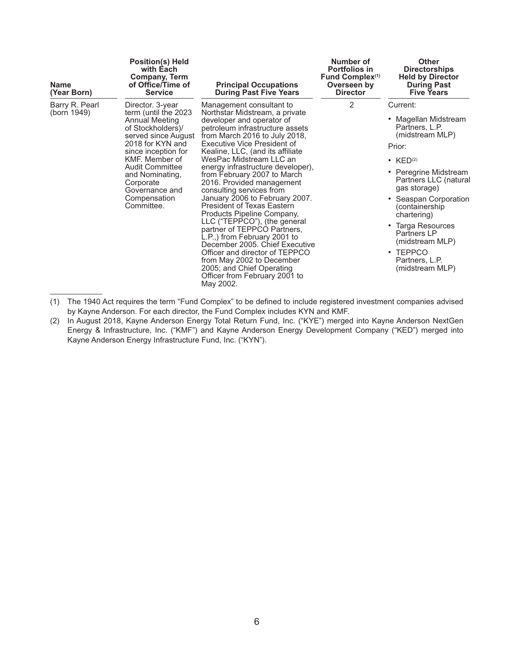| <b>Name</b><br>(Year Born)    | <b>Position(s) Held</b><br>with Each<br><b>Company, Term</b><br>of Office/Time of<br><b>Service</b>                                                                                                                                                                           | <b>Principal Occupations</b><br><b>During Past Five Years</b>                                                                                                                                                                                                                                                                                                                                                                                                                                                                                                                                                                                                                                                                                                          | Number of<br><b>Portfolios in</b><br>Fund Complex <sup>(1)</sup><br>Overseen by<br><b>Director</b> | <b>Other</b><br><b>Directorships</b><br><b>Held by Director</b><br><b>During Past</b><br><b>Five Years</b>                                                                                                                                                                                                                          |
|-------------------------------|-------------------------------------------------------------------------------------------------------------------------------------------------------------------------------------------------------------------------------------------------------------------------------|------------------------------------------------------------------------------------------------------------------------------------------------------------------------------------------------------------------------------------------------------------------------------------------------------------------------------------------------------------------------------------------------------------------------------------------------------------------------------------------------------------------------------------------------------------------------------------------------------------------------------------------------------------------------------------------------------------------------------------------------------------------------|----------------------------------------------------------------------------------------------------|-------------------------------------------------------------------------------------------------------------------------------------------------------------------------------------------------------------------------------------------------------------------------------------------------------------------------------------|
| Barry R. Pearl<br>(born 1949) | Director. 3-year<br>term (until the 2023<br>Annual Meeting<br>of Stockholders)/<br>served since August<br>2018 for KYN and<br>since inception for<br>KMF. Member of<br><b>Audit Committee</b><br>and Nominating,<br>Corporate<br>Governance and<br>Compensation<br>Committee. | Management consultant to<br>Northstar Midstream, a private<br>developer and operator of<br>petroleum infrastructure assets<br>from March 2016 to July 2018,<br>Executive Vice President of<br>Kealine, LLC, (and its affiliate<br>WesPac Midstream LLC an<br>energy infrastructure developer),<br>from February 2007 to March<br>2016. Provided management<br>consulting services from<br>January 2006 to February 2007.<br><b>President of Texas Eastern</b><br>Products Pipeline Company,<br>LLC ("TEPPCO"), (the general<br>partner of TEPPCO Partners,<br>L.P.,) from February 2001 to<br>December 2005. Chief Executive<br>Officer and director of TEPPCO<br>from May 2002 to December<br>2005; and Chief Operating<br>Officer from February 2001 to<br>May 2002. | 2                                                                                                  | Current:<br>• Magellan Midstream<br>Partners, L.P.<br>(midstream MLP)<br>Prior:<br>• $KED(2)$<br>• Peregrine Midstream<br>Partners LLC (natural<br>gas storage)<br>Seaspan Corporation<br>(containership<br>chartering)<br>Targa Resources<br>Partners LP<br>(midstream MLP)<br>$\cdot$ TEPPCO<br>Partners, L.P.<br>(midstream MLP) |

<sup>(1)</sup> The 1940 Act requires the term "Fund Complex" to be defined to include registered investment companies advised by Kayne Anderson. For each director, the Fund Complex includes KYN and KMF.

<sup>(2)</sup> In August 2018, Kayne Anderson Energy Total Return Fund, Inc. ("KYE") merged into Kayne Anderson NextGen Energy & Infrastructure, Inc. ("KMF") and Kayne Anderson Energy Development Company ("KED") merged into Kayne Anderson Energy Infrastructure Fund, Inc. ("KYN").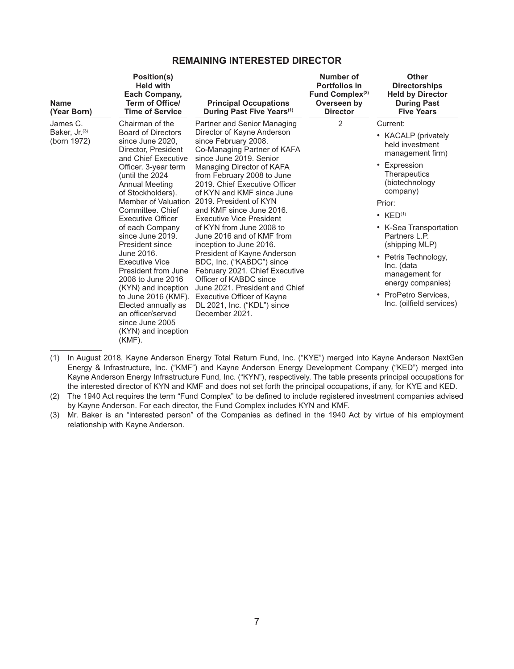# **REMAINING INTERESTED DIRECTOR**

| <b>Name</b><br>(Year Born)                           | Position(s)<br><b>Held with</b><br>Each Company,<br>Term of Office/<br><b>Time of Service</b>                                                                                                                                                                                                                                                                                                                                                                                                                                                                             | <b>Principal Occupations</b><br>During Past Five Years <sup>(1)</sup>                                                                                                                                                                                                                                                                                                                                                                                                                                                                                                                                                                                                                      | Number of<br><b>Portfolios in</b><br>Fund Complex <sup>(2)</sup><br>Overseen by<br><b>Director</b> | <b>Other</b><br><b>Directorships</b><br><b>Held by Director</b><br><b>During Past</b><br><b>Five Years</b>                                                                                                                                                                                                                                                 |
|------------------------------------------------------|---------------------------------------------------------------------------------------------------------------------------------------------------------------------------------------------------------------------------------------------------------------------------------------------------------------------------------------------------------------------------------------------------------------------------------------------------------------------------------------------------------------------------------------------------------------------------|--------------------------------------------------------------------------------------------------------------------------------------------------------------------------------------------------------------------------------------------------------------------------------------------------------------------------------------------------------------------------------------------------------------------------------------------------------------------------------------------------------------------------------------------------------------------------------------------------------------------------------------------------------------------------------------------|----------------------------------------------------------------------------------------------------|------------------------------------------------------------------------------------------------------------------------------------------------------------------------------------------------------------------------------------------------------------------------------------------------------------------------------------------------------------|
| James C.<br>Baker, Jr. <sup>(3)</sup><br>(born 1972) | Chairman of the<br><b>Board of Directors</b><br>since June 2020,<br>Director, President<br>and Chief Executive<br>Officer. 3-year term<br>(until the 2024<br><b>Annual Meeting</b><br>of Stockholders).<br>Member of Valuation<br>Committee, Chief<br><b>Executive Officer</b><br>of each Company<br>since June 2019.<br>President since<br>June 2016.<br><b>Executive Vice</b><br>President from June<br>2008 to June 2016<br>(KYN) and inception<br>to June 2016 (KMF).<br>Elected annually as<br>an officer/served<br>since June 2005<br>(KYN) and inception<br>(KMF). | Partner and Senior Managing<br>Director of Kayne Anderson<br>since February 2008.<br>Co-Managing Partner of KAFA<br>since June 2019. Senior<br>Managing Director of KAFA<br>from February 2008 to June<br>2019. Chief Executive Officer<br>of KYN and KMF since June<br>2019. President of KYN<br>and KMF since June 2016.<br><b>Executive Vice President</b><br>of KYN from June 2008 to<br>June 2016 and of KMF from<br>inception to June 2016.<br>President of Kayne Anderson<br>BDC, Inc. ("KABDC") since<br>February 2021. Chief Executive<br>Officer of KABDC since<br>June 2021. President and Chief<br>Executive Officer of Kayne<br>DL 2021, Inc. ("KDL") since<br>December 2021. | 2                                                                                                  | Current:<br>• KACALP (privately<br>held investment<br>management firm)<br>• Expression<br>Therapeutics<br>(biotechnology<br>company)<br>Prior:<br>• $KED(1)$<br>• K-Sea Transportation<br>Partners L.P.<br>(shipping MLP)<br>• Petris Technology,<br>Inc. (data<br>management for<br>energy companies)<br>• ProPetro Services.<br>Inc. (oilfield services) |

<sup>(1)</sup> In August 2018, Kayne Anderson Energy Total Return Fund, Inc. ("KYE") merged into Kayne Anderson NextGen Energy & Infrastructure, Inc. ("KMF") and Kayne Anderson Energy Development Company ("KED") merged into Kayne Anderson Energy Infrastructure Fund, Inc. ("KYN"), respectively. The table presents principal occupations for the interested director of KYN and KMF and does not set forth the principal occupations, if any, for KYE and KED.

(3) Mr. Baker is an "interested person" of the Companies as defined in the 1940 Act by virtue of his employment relationship with Kayne Anderson.

<sup>(2)</sup> The 1940 Act requires the term "Fund Complex" to be defined to include registered investment companies advised by Kayne Anderson. For each director, the Fund Complex includes KYN and KMF.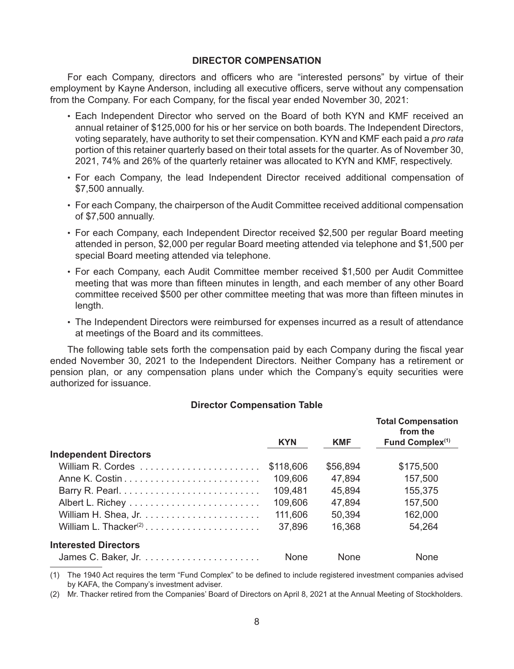### **DIRECTOR COMPENSATION**

For each Company, directors and officers who are "interested persons" by virtue of their employment by Kayne Anderson, including all executive officers, serve without any compensation from the Company. For each Company, for the fiscal year ended November 30, 2021:

- Each Independent Director who served on the Board of both KYN and KMF received an annual retainer of \$125,000 for his or her service on both boards. The Independent Directors, voting separately, have authority to set their compensation. KYN and KMF each paid a *pro rata*  portion of this retainer quarterly based on their total assets for the quarter. As of November 30, 2021, 74% and 26% of the quarterly retainer was allocated to KYN and KMF, respectively.
- For each Company, the lead Independent Director received additional compensation of \$7,500 annually.
- For each Company, the chairperson of the Audit Committee received additional compensation of \$7,500 annually.
- For each Company, each Independent Director received \$2,500 per regular Board meeting attended in person, \$2,000 per regular Board meeting attended via telephone and \$1,500 per special Board meeting attended via telephone.
- For each Company, each Audit Committee member received \$1,500 per Audit Committee meeting that was more than fifteen minutes in length, and each member of any other Board committee received \$500 per other committee meeting that was more than fifteen minutes in length.
- The Independent Directors were reimbursed for expenses incurred as a result of attendance at meetings of the Board and its committees.

The following table sets forth the compensation paid by each Company during the fiscal year ended November 30, 2021 to the Independent Directors. Neither Company has a retirement or pension plan, or any compensation plans under which the Company's equity securities were authorized for issuance.

## **Director Compensation Table**

|                              |             |            | <b>Total Compensation</b><br>from the |
|------------------------------|-------------|------------|---------------------------------------|
|                              | <b>KYN</b>  | <b>KMF</b> | Fund Complex <sup>(1)</sup>           |
| <b>Independent Directors</b> |             |            |                                       |
|                              | \$118,606   | \$56,894   | \$175,500                             |
|                              | 109,606     | 47,894     | 157,500                               |
|                              | 109,481     | 45,894     | 155,375                               |
|                              | 109,606     | 47.894     | 157,500                               |
|                              | 111,606     | 50,394     | 162,000                               |
|                              | 37,896      | 16,368     | 54,264                                |
| <b>Interested Directors</b>  |             |            |                                       |
|                              | <b>None</b> | None       | None                                  |

(1) The 1940 Act requires the term "Fund Complex" to be defined to include registered investment companies advised by KAFA, the Company's investment adviser.

(2) Mr. Thacker retired from the Companies' Board of Directors on April 8, 2021 at the Annual Meeting of Stockholders.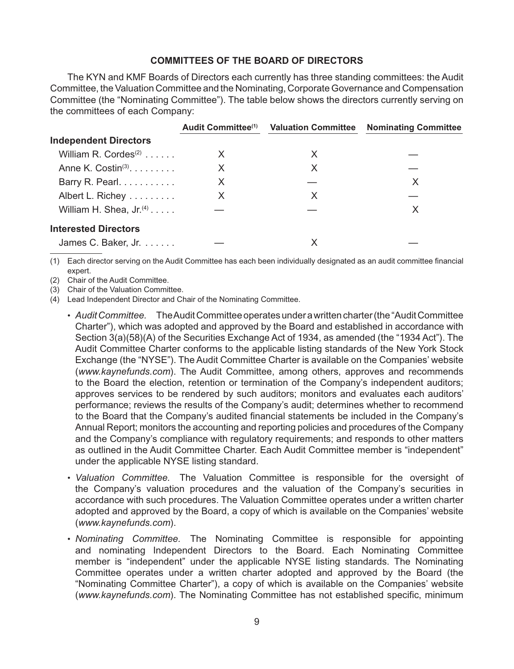# **COMMITTEES OF THE BOARD OF DIRECTORS**

The KYN and KMF Boards of Directors each currently has three standing committees: the Audit Committee, the Valuation Committee and the Nominating, Corporate Governance and Compensation Committee (the "Nominating Committee"). The table below shows the directors currently serving on the committees of each Company:

|                                            | <b>Audit Committee</b> <sup>(1)</sup> | <b>Valuation Committee</b> | <b>Nominating Committee</b> |
|--------------------------------------------|---------------------------------------|----------------------------|-----------------------------|
| <b>Independent Directors</b>               |                                       |                            |                             |
| William R. Cordes <sup>(2)</sup>           | X                                     | X                          |                             |
| Anne K. Costin <sup>(3)</sup> . $\ldots$ . | X                                     | X                          |                             |
| Barry R. Pearl.                            | X                                     |                            | Х                           |
| Albert L. Richey                           | X                                     | X                          |                             |
| William H. Shea, $Jr^{(4)}$                |                                       |                            | Х                           |
| <b>Interested Directors</b>                |                                       |                            |                             |
| James C. Baker, Jr.                        |                                       |                            |                             |

(1) Each director serving on the Audit Committee has each been individually designated as an audit committee financial expert.

(2) Chair of the Audit Committee.

(3) Chair of the Valuation Committee.

(4) Lead Independent Director and Chair of the Nominating Committee.

- *Audit Committee.* The Audit Committee operates under a written charter (the "Audit Committee Charter"), which was adopted and approved by the Board and established in accordance with Section 3(a)(58)(A) of the Securities Exchange Act of 1934, as amended (the "1934 Act"). The Audit Committee Charter conforms to the applicable listing standards of the New York Stock Exchange (the "NYSE"). The Audit Committee Charter is available on the Companies' website (*www.kaynefunds.com*). The Audit Committee, among others, approves and recommends to the Board the election, retention or termination of the Company's independent auditors; approves services to be rendered by such auditors; monitors and evaluates each auditors' performance; reviews the results of the Company's audit; determines whether to recommend to the Board that the Company's audited financial statements be included in the Company's Annual Report; monitors the accounting and reporting policies and procedures of the Company and the Company's compliance with regulatory requirements; and responds to other matters as outlined in the Audit Committee Charter. Each Audit Committee member is "independent" under the applicable NYSE listing standard.
- *Valuation Committee.* The Valuation Committee is responsible for the oversight of the Company's valuation procedures and the valuation of the Company's securities in accordance with such procedures. The Valuation Committee operates under a written charter adopted and approved by the Board, a copy of which is available on the Companies' website (*www.kaynefunds.com*).
- *Nominating Committee.* The Nominating Committee is responsible for appointing and nominating Independent Directors to the Board. Each Nominating Committee member is "independent" under the applicable NYSE listing standards. The Nominating Committee operates under a written charter adopted and approved by the Board (the "Nominating Committee Charter"), a copy of which is available on the Companies' website (*www.kaynefunds.com*). The Nominating Committee has not established specific, minimum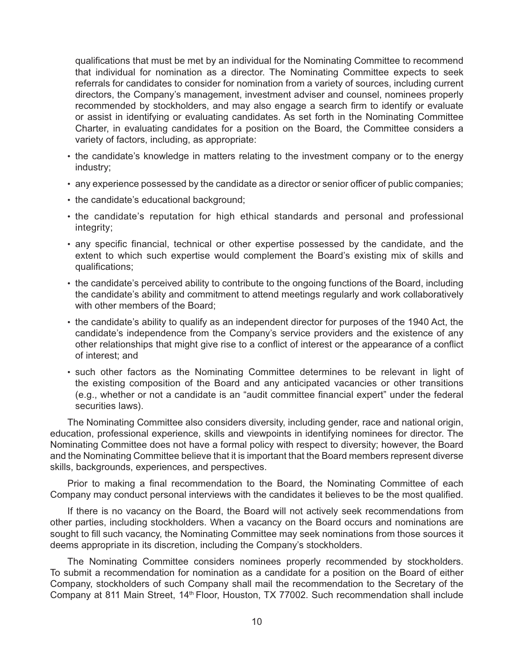qualifications that must be met by an individual for the Nominating Committee to recommend that individual for nomination as a director. The Nominating Committee expects to seek referrals for candidates to consider for nomination from a variety of sources, including current directors, the Company's management, investment adviser and counsel, nominees properly recommended by stockholders, and may also engage a search firm to identify or evaluate or assist in identifying or evaluating candidates. As set forth in the Nominating Committee Charter, in evaluating candidates for a position on the Board, the Committee considers a variety of factors, including, as appropriate:

- the candidate's knowledge in matters relating to the investment company or to the energy industry;
- any experience possessed by the candidate as a director or senior officer of public companies;
- the candidate's educational background;
- the candidate's reputation for high ethical standards and personal and professional integrity;
- any specific financial, technical or other expertise possessed by the candidate, and the extent to which such expertise would complement the Board's existing mix of skills and qualifications;
- the candidate's perceived ability to contribute to the ongoing functions of the Board, including the candidate's ability and commitment to attend meetings regularly and work collaboratively with other members of the Board:
- the candidate's ability to qualify as an independent director for purposes of the 1940 Act, the candidate's independence from the Company's service providers and the existence of any other relationships that might give rise to a conflict of interest or the appearance of a conflict of interest; and
- such other factors as the Nominating Committee determines to be relevant in light of the existing composition of the Board and any anticipated vacancies or other transitions (e.g., whether or not a candidate is an "audit committee financial expert" under the federal securities laws).

The Nominating Committee also considers diversity, including gender, race and national origin, education, professional experience, skills and viewpoints in identifying nominees for director. The Nominating Committee does not have a formal policy with respect to diversity; however, the Board and the Nominating Committee believe that it is important that the Board members represent diverse skills, backgrounds, experiences, and perspectives.

Prior to making a final recommendation to the Board, the Nominating Committee of each Company may conduct personal interviews with the candidates it believes to be the most qualified.

If there is no vacancy on the Board, the Board will not actively seek recommendations from other parties, including stockholders. When a vacancy on the Board occurs and nominations are sought to fill such vacancy, the Nominating Committee may seek nominations from those sources it deems appropriate in its discretion, including the Company's stockholders.

The Nominating Committee considers nominees properly recommended by stockholders. To submit a recommendation for nomination as a candidate for a position on the Board of either Company, stockholders of such Company shall mail the recommendation to the Secretary of the Company at 811 Main Street, 14<sup>th</sup> Floor, Houston, TX 77002. Such recommendation shall include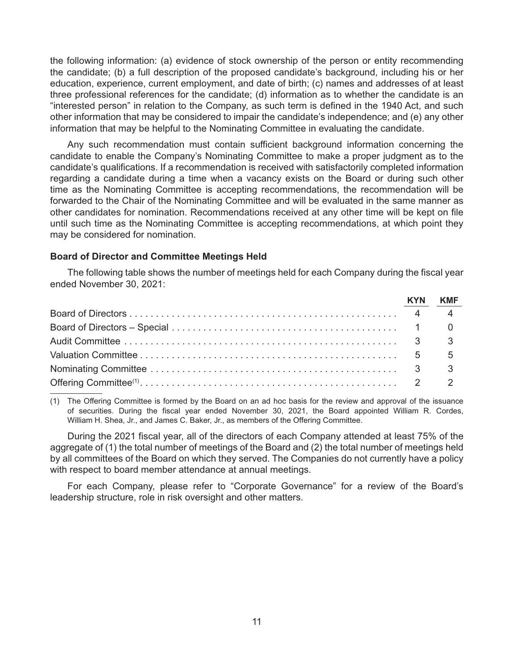the following information: (a) evidence of stock ownership of the person or entity recommending the candidate; (b) a full description of the proposed candidate's background, including his or her education, experience, current employment, and date of birth; (c) names and addresses of at least three professional references for the candidate; (d) information as to whether the candidate is an "interested person" in relation to the Company, as such term is defined in the 1940 Act, and such other information that may be considered to impair the candidate's independence; and (e) any other information that may be helpful to the Nominating Committee in evaluating the candidate.

Any such recommendation must contain sufficient background information concerning the candidate to enable the Company's Nominating Committee to make a proper judgment as to the candidate's qualifications. If a recommendation is received with satisfactorily completed information regarding a candidate during a time when a vacancy exists on the Board or during such other time as the Nominating Committee is accepting recommendations, the recommendation will be forwarded to the Chair of the Nominating Committee and will be evaluated in the same manner as other candidates for nomination. Recommendations received at any other time will be kept on file until such time as the Nominating Committee is accepting recommendations, at which point they may be considered for nomination.

# **Board of Director and Committee Meetings Held**

The following table shows the number of meetings held for each Company during the fiscal year ended November 30, 2021:

| <b>KYN</b> | KMF |
|------------|-----|
|            |     |
|            |     |
|            |     |
|            |     |
|            |     |
|            |     |

(1) The Offering Committee is formed by the Board on an ad hoc basis for the review and approval of the issuance of securities. During the fiscal year ended November 30, 2021, the Board appointed William R. Cordes, William H. Shea, Jr., and James C. Baker, Jr., as members of the Offering Committee.

During the 2021 fiscal year, all of the directors of each Company attended at least 75% of the aggregate of (1) the total number of meetings of the Board and (2) the total number of meetings held by all committees of the Board on which they served. The Companies do not currently have a policy with respect to board member attendance at annual meetings.

For each Company, please refer to "Corporate Governance" for a review of the Board's leadership structure, role in risk oversight and other matters.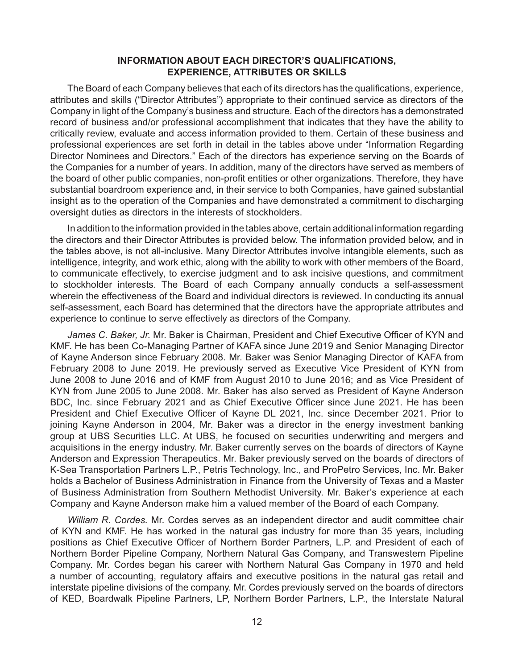# **INFORMATION ABOUT EACH DIRECTOR'S QUALIFICATIONS, EXPERIENCE, ATTRIBUTES OR SKILLS**

The Board of each Company believes that each of its directors has the qualifications, experience, attributes and skills ("Director Attributes") appropriate to their continued service as directors of the Company in light of the Company's business and structure. Each of the directors has a demonstrated record of business and/or professional accomplishment that indicates that they have the ability to critically review, evaluate and access information provided to them. Certain of these business and professional experiences are set forth in detail in the tables above under "Information Regarding Director Nominees and Directors." Each of the directors has experience serving on the Boards of the Companies for a number of years. In addition, many of the directors have served as members of the board of other public companies, non-profit entities or other organizations. Therefore, they have substantial boardroom experience and, in their service to both Companies, have gained substantial insight as to the operation of the Companies and have demonstrated a commitment to discharging oversight duties as directors in the interests of stockholders.

In addition to the information provided in the tables above, certain additional information regarding the directors and their Director Attributes is provided below. The information provided below, and in the tables above, is not all-inclusive. Many Director Attributes involve intangible elements, such as intelligence, integrity, and work ethic, along with the ability to work with other members of the Board, to communicate effectively, to exercise judgment and to ask incisive questions, and commitment to stockholder interests. The Board of each Company annually conducts a self-assessment wherein the effectiveness of the Board and individual directors is reviewed. In conducting its annual self-assessment, each Board has determined that the directors have the appropriate attributes and experience to continue to serve effectively as directors of the Company.

*James C. Baker, Jr.* Mr. Baker is Chairman, President and Chief Executive Officer of KYN and KMF. He has been Co-Managing Partner of KAFA since June 2019 and Senior Managing Director of Kayne Anderson since February 2008. Mr. Baker was Senior Managing Director of KAFA from February 2008 to June 2019. He previously served as Executive Vice President of KYN from June 2008 to June 2016 and of KMF from August 2010 to June 2016; and as Vice President of KYN from June 2005 to June 2008. Mr. Baker has also served as President of Kayne Anderson BDC, Inc. since February 2021 and as Chief Executive Officer since June 2021. He has been President and Chief Executive Officer of Kayne DL 2021, Inc. since December 2021. Prior to joining Kayne Anderson in 2004, Mr. Baker was a director in the energy investment banking group at UBS Securities LLC. At UBS, he focused on securities underwriting and mergers and acquisitions in the energy industry. Mr. Baker currently serves on the boards of directors of Kayne Anderson and Expression Therapeutics. Mr. Baker previously served on the boards of directors of K-Sea Transportation Partners L.P., Petris Technology, Inc., and ProPetro Services, Inc. Mr. Baker holds a Bachelor of Business Administration in Finance from the University of Texas and a Master of Business Administration from Southern Methodist University. Mr. Baker's experience at each Company and Kayne Anderson make him a valued member of the Board of each Company.

*William R. Cordes.* Mr. Cordes serves as an independent director and audit committee chair of KYN and KMF. He has worked in the natural gas industry for more than 35 years, including positions as Chief Executive Officer of Northern Border Partners, L.P. and President of each of Northern Border Pipeline Company, Northern Natural Gas Company, and Transwestern Pipeline Company. Mr. Cordes began his career with Northern Natural Gas Company in 1970 and held a number of accounting, regulatory affairs and executive positions in the natural gas retail and interstate pipeline divisions of the company. Mr. Cordes previously served on the boards of directors of KED, Boardwalk Pipeline Partners, LP, Northern Border Partners, L.P., the Interstate Natural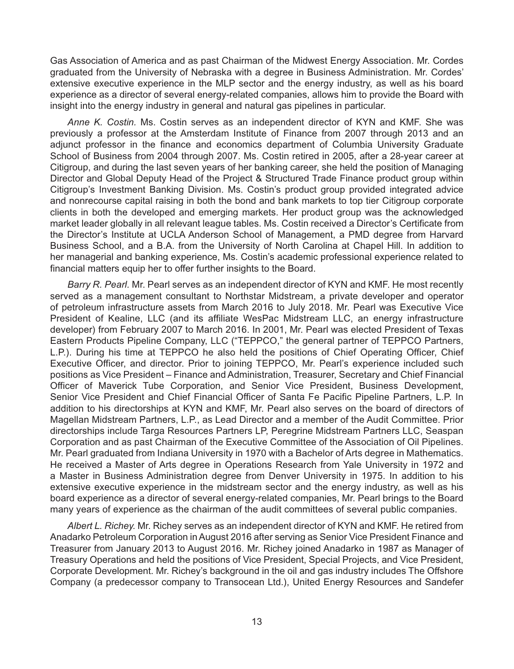Gas Association of America and as past Chairman of the Midwest Energy Association. Mr. Cordes graduated from the University of Nebraska with a degree in Business Administration. Mr. Cordes' extensive executive experience in the MLP sector and the energy industry, as well as his board experience as a director of several energy-related companies, allows him to provide the Board with insight into the energy industry in general and natural gas pipelines in particular.

*Anne K. Costin.* Ms. Costin serves as an independent director of KYN and KMF. She was previously a professor at the Amsterdam Institute of Finance from 2007 through 2013 and an adjunct professor in the finance and economics department of Columbia University Graduate School of Business from 2004 through 2007. Ms. Costin retired in 2005, after a 28-year career at Citigroup, and during the last seven years of her banking career, she held the position of Managing Director and Global Deputy Head of the Project & Structured Trade Finance product group within Citigroup's Investment Banking Division. Ms. Costin's product group provided integrated advice and nonrecourse capital raising in both the bond and bank markets to top tier Citigroup corporate clients in both the developed and emerging markets. Her product group was the acknowledged market leader globally in all relevant league tables. Ms. Costin received a Director's Certificate from the Director's Institute at UCLA Anderson School of Management, a PMD degree from Harvard Business School, and a B.A. from the University of North Carolina at Chapel Hill. In addition to her managerial and banking experience, Ms. Costin's academic professional experience related to financial matters equip her to offer further insights to the Board.

*Barry R. Pearl.* Mr. Pearl serves as an independent director of KYN and KMF. He most recently served as a management consultant to Northstar Midstream, a private developer and operator of petroleum infrastructure assets from March 2016 to July 2018. Mr. Pearl was Executive Vice President of Kealine, LLC (and its affiliate WesPac Midstream LLC, an energy infrastructure developer) from February 2007 to March 2016. In 2001, Mr. Pearl was elected President of Texas Eastern Products Pipeline Company, LLC ("TEPPCO," the general partner of TEPPCO Partners, L.P.). During his time at TEPPCO he also held the positions of Chief Operating Officer, Chief Executive Officer, and director. Prior to joining TEPPCO, Mr. Pearl's experience included such positions as Vice President – Finance and Administration, Treasurer, Secretary and Chief Financial Officer of Maverick Tube Corporation, and Senior Vice President, Business Development, Senior Vice President and Chief Financial Officer of Santa Fe Pacific Pipeline Partners, L.P. In addition to his directorships at KYN and KMF, Mr. Pearl also serves on the board of directors of Magellan Midstream Partners, L.P., as Lead Director and a member of the Audit Committee. Prior directorships include Targa Resources Partners LP, Peregrine Midstream Partners LLC, Seaspan Corporation and as past Chairman of the Executive Committee of the Association of Oil Pipelines. Mr. Pearl graduated from Indiana University in 1970 with a Bachelor of Arts degree in Mathematics. He received a Master of Arts degree in Operations Research from Yale University in 1972 and a Master in Business Administration degree from Denver University in 1975. In addition to his extensive executive experience in the midstream sector and the energy industry, as well as his board experience as a director of several energy-related companies, Mr. Pearl brings to the Board many years of experience as the chairman of the audit committees of several public companies.

*Albert L. Richey.* Mr. Richey serves as an independent director of KYN and KMF. He retired from Anadarko Petroleum Corporation in August 2016 after serving as Senior Vice President Finance and Treasurer from January 2013 to August 2016. Mr. Richey joined Anadarko in 1987 as Manager of Treasury Operations and held the positions of Vice President, Special Projects, and Vice President, Corporate Development. Mr. Richey's background in the oil and gas industry includes The Offshore Company (a predecessor company to Transocean Ltd.), United Energy Resources and Sandefer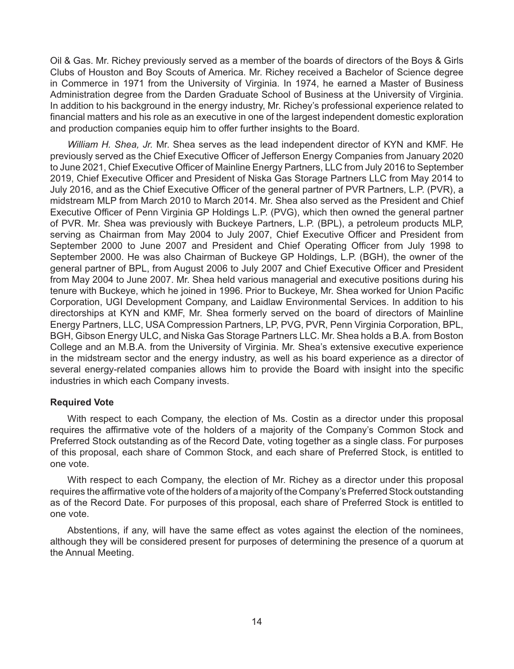Oil & Gas. Mr. Richey previously served as a member of the boards of directors of the Boys & Girls Clubs of Houston and Boy Scouts of America. Mr. Richey received a Bachelor of Science degree in Commerce in 1971 from the University of Virginia. In 1974, he earned a Master of Business Administration degree from the Darden Graduate School of Business at the University of Virginia. In addition to his background in the energy industry, Mr. Richey's professional experience related to financial matters and his role as an executive in one of the largest independent domestic exploration and production companies equip him to offer further insights to the Board.

*William H. Shea, Jr.* Mr. Shea serves as the lead independent director of KYN and KMF. He previously served as the Chief Executive Officer of Jefferson Energy Companies from January 2020 to June 2021, Chief Executive Officer of Mainline Energy Partners, LLC from July 2016 to September 2019, Chief Executive Officer and President of Niska Gas Storage Partners LLC from May 2014 to July 2016, and as the Chief Executive Officer of the general partner of PVR Partners, L.P. (PVR), a midstream MLP from March 2010 to March 2014. Mr. Shea also served as the President and Chief Executive Officer of Penn Virginia GP Holdings L.P. (PVG), which then owned the general partner of PVR. Mr. Shea was previously with Buckeye Partners, L.P. (BPL), a petroleum products MLP, serving as Chairman from May 2004 to July 2007, Chief Executive Officer and President from September 2000 to June 2007 and President and Chief Operating Officer from July 1998 to September 2000. He was also Chairman of Buckeye GP Holdings, L.P. (BGH), the owner of the general partner of BPL, from August 2006 to July 2007 and Chief Executive Officer and President from May 2004 to June 2007. Mr. Shea held various managerial and executive positions during his tenure with Buckeye, which he joined in 1996. Prior to Buckeye, Mr. Shea worked for Union Pacific Corporation, UGI Development Company, and Laidlaw Environmental Services. In addition to his directorships at KYN and KMF, Mr. Shea formerly served on the board of directors of Mainline Energy Partners, LLC, USA Compression Partners, LP, PVG, PVR, Penn Virginia Corporation, BPL, BGH, Gibson Energy ULC, and Niska Gas Storage Partners LLC. Mr. Shea holds a B.A. from Boston College and an M.B.A. from the University of Virginia. Mr. Shea's extensive executive experience in the midstream sector and the energy industry, as well as his board experience as a director of several energy-related companies allows him to provide the Board with insight into the specific industries in which each Company invests.

# **Required Vote**

With respect to each Company, the election of Ms. Costin as a director under this proposal requires the affirmative vote of the holders of a majority of the Company's Common Stock and Preferred Stock outstanding as of the Record Date, voting together as a single class. For purposes of this proposal, each share of Common Stock, and each share of Preferred Stock, is entitled to one vote.

With respect to each Company, the election of Mr. Richey as a director under this proposal requires the affirmative vote of the holders of a majority of the Company's Preferred Stock outstanding as of the Record Date. For purposes of this proposal, each share of Preferred Stock is entitled to one vote.

Abstentions, if any, will have the same effect as votes against the election of the nominees, although they will be considered present for purposes of determining the presence of a quorum at the Annual Meeting.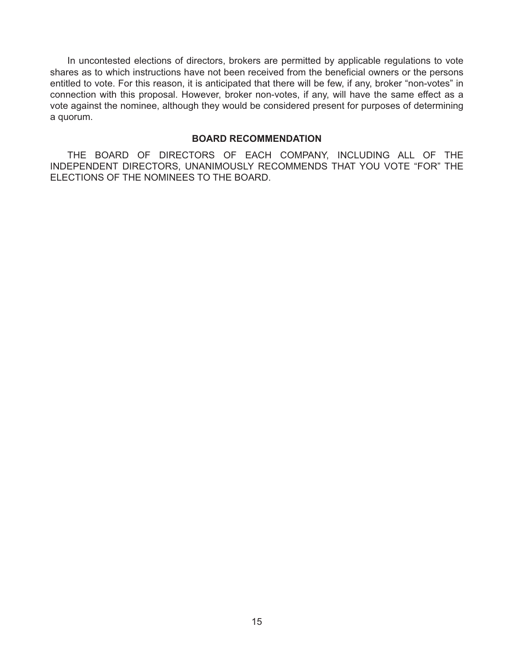In uncontested elections of directors, brokers are permitted by applicable regulations to vote shares as to which instructions have not been received from the beneficial owners or the persons entitled to vote. For this reason, it is anticipated that there will be few, if any, broker "non-votes" in connection with this proposal. However, broker non-votes, if any, will have the same effect as a vote against the nominee, although they would be considered present for purposes of determining a quorum.

## **BOARD RECOMMENDATION**

THE BOARD OF DIRECTORS OF EACH COMPANY, INCLUDING ALL OF THE INDEPENDENT DIRECTORS, UNANIMOUSLY RECOMMENDS THAT YOU VOTE "FOR" THE ELECTIONS OF THE NOMINEES TO THE BOARD.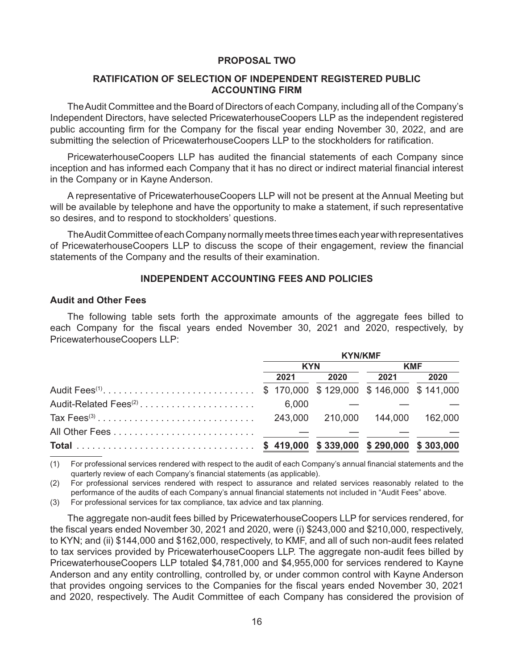# **PROPOSAL TWO**

# **RATIFICATION OF SELECTION OF INDEPENDENT REGISTERED PUBLIC ACCOUNTING FIRM**

The Audit Committee and the Board of Directors of each Company, including all of the Company's Independent Directors, have selected PricewaterhouseCoopers LLP as the independent registered public accounting firm for the Company for the fiscal year ending November 30, 2022, and are submitting the selection of PricewaterhouseCoopers LLP to the stockholders for ratification.

PricewaterhouseCoopers LLP has audited the financial statements of each Company since inception and has informed each Company that it has no direct or indirect material financial interest in the Company or in Kayne Anderson.

A representative of PricewaterhouseCoopers LLP will not be present at the Annual Meeting but will be available by telephone and have the opportunity to make a statement, if such representative so desires, and to respond to stockholders' questions.

The Audit Committee of each Company normally meets three times each year with representatives of PricewaterhouseCoopers LLP to discuss the scope of their engagement, review the financial statements of the Company and the results of their examination.

# **INDEPENDENT ACCOUNTING FEES AND POLICIES**

#### **Audit and Other Fees**

The following table sets forth the approximate amounts of the aggregate fees billed to each Company for the fiscal years ended November 30, 2021 and 2020, respectively, by PricewaterhouseCoopers LLP:

|                                                                    | <b>KYN/KMF</b> |            |      |            |      |
|--------------------------------------------------------------------|----------------|------------|------|------------|------|
|                                                                    |                | <b>KYN</b> |      | <b>KMF</b> |      |
|                                                                    |                | 2021       | 2020 | 2021       | 2020 |
| Audit Fees <sup>(1)</sup> \$ 170,000 \$129,000 \$146,000 \$141,000 |                |            |      |            |      |
|                                                                    |                |            |      |            |      |
|                                                                    |                |            |      |            |      |
|                                                                    |                |            |      |            |      |
|                                                                    |                |            |      |            |      |

(1) For professional services rendered with respect to the audit of each Company's annual financial statements and the quarterly review of each Company's financial statements (as applicable).

(2) For professional services rendered with respect to assurance and related services reasonably related to the performance of the audits of each Company's annual financial statements not included in "Audit Fees" above.

(3) For professional services for tax compliance, tax advice and tax planning.

The aggregate non-audit fees billed by PricewaterhouseCoopers LLP for services rendered, for the fiscal years ended November 30, 2021 and 2020, were (i) \$243,000 and \$210,000, respectively, to KYN; and (ii) \$144,000 and \$162,000, respectively, to KMF, and all of such non-audit fees related to tax services provided by PricewaterhouseCoopers LLP. The aggregate non-audit fees billed by PricewaterhouseCoopers LLP totaled \$4,781,000 and \$4,955,000 for services rendered to Kayne Anderson and any entity controlling, controlled by, or under common control with Kayne Anderson that provides ongoing services to the Companies for the fiscal years ended November 30, 2021 and 2020, respectively. The Audit Committee of each Company has considered the provision of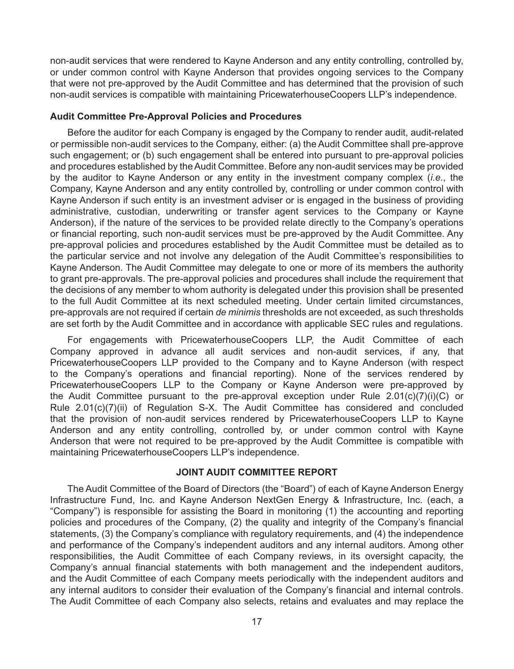non-audit services that were rendered to Kayne Anderson and any entity controlling, controlled by, or under common control with Kayne Anderson that provides ongoing services to the Company that were not pre-approved by the Audit Committee and has determined that the provision of such non-audit services is compatible with maintaining PricewaterhouseCoopers LLP's independence.

# **Audit Committee Pre-Approval Policies and Procedures**

Before the auditor for each Company is engaged by the Company to render audit, audit-related or permissible non-audit services to the Company, either: (a) the Audit Committee shall pre-approve such engagement; or (b) such engagement shall be entered into pursuant to pre-approval policies and procedures established by the Audit Committee. Before any non-audit services may be provided by the auditor to Kayne Anderson or any entity in the investment company complex (*i.e.*, the Company, Kayne Anderson and any entity controlled by, controlling or under common control with Kayne Anderson if such entity is an investment adviser or is engaged in the business of providing administrative, custodian, underwriting or transfer agent services to the Company or Kayne Anderson), if the nature of the services to be provided relate directly to the Company's operations or financial reporting, such non-audit services must be pre-approved by the Audit Committee. Any pre-approval policies and procedures established by the Audit Committee must be detailed as to the particular service and not involve any delegation of the Audit Committee's responsibilities to Kayne Anderson. The Audit Committee may delegate to one or more of its members the authority to grant pre-approvals. The pre-approval policies and procedures shall include the requirement that the decisions of any member to whom authority is delegated under this provision shall be presented to the full Audit Committee at its next scheduled meeting. Under certain limited circumstances, pre-approvals are not required if certain *de minimis* thresholds are not exceeded, as such thresholds are set forth by the Audit Committee and in accordance with applicable SEC rules and regulations.

For engagements with PricewaterhouseCoopers LLP, the Audit Committee of each Company approved in advance all audit services and non-audit services, if any, that PricewaterhouseCoopers LLP provided to the Company and to Kayne Anderson (with respect to the Company's operations and financial reporting). None of the services rendered by PricewaterhouseCoopers LLP to the Company or Kayne Anderson were pre-approved by the Audit Committee pursuant to the pre-approval exception under Rule 2.01(c)(7)(i)(C) or Rule 2.01(c)(7)(ii) of Regulation S-X. The Audit Committee has considered and concluded that the provision of non-audit services rendered by PricewaterhouseCoopers LLP to Kayne Anderson and any entity controlling, controlled by, or under common control with Kayne Anderson that were not required to be pre-approved by the Audit Committee is compatible with maintaining PricewaterhouseCoopers LLP's independence.

# **JOINT AUDIT COMMITTEE REPORT**

The Audit Committee of the Board of Directors (the "Board") of each of Kayne Anderson Energy Infrastructure Fund, Inc. and Kayne Anderson NextGen Energy & Infrastructure, Inc. (each, a "Company") is responsible for assisting the Board in monitoring (1) the accounting and reporting policies and procedures of the Company, (2) the quality and integrity of the Company's financial statements, (3) the Company's compliance with regulatory requirements, and (4) the independence and performance of the Company's independent auditors and any internal auditors. Among other responsibilities, the Audit Committee of each Company reviews, in its oversight capacity, the Company's annual financial statements with both management and the independent auditors, and the Audit Committee of each Company meets periodically with the independent auditors and any internal auditors to consider their evaluation of the Company's financial and internal controls. The Audit Committee of each Company also selects, retains and evaluates and may replace the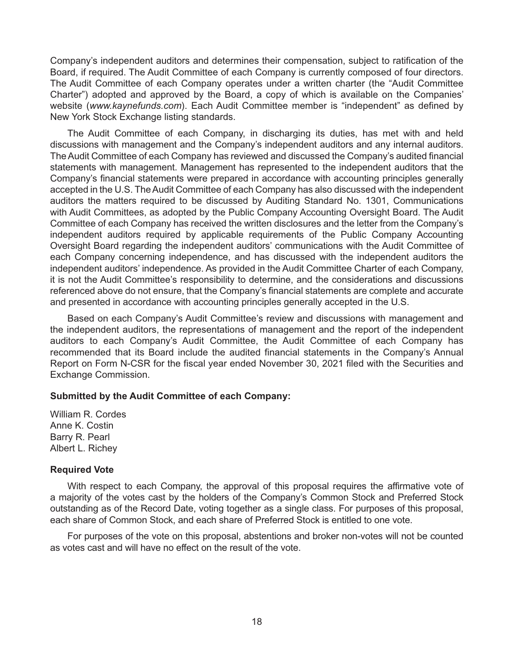Company's independent auditors and determines their compensation, subject to ratification of the Board, if required. The Audit Committee of each Company is currently composed of four directors. The Audit Committee of each Company operates under a written charter (the "Audit Committee Charter") adopted and approved by the Board, a copy of which is available on the Companies' website (*www.kaynefunds.com*). Each Audit Committee member is "independent" as defined by New York Stock Exchange listing standards.

The Audit Committee of each Company, in discharging its duties, has met with and held discussions with management and the Company's independent auditors and any internal auditors. The Audit Committee of each Company has reviewed and discussed the Company's audited financial statements with management. Management has represented to the independent auditors that the Company's financial statements were prepared in accordance with accounting principles generally accepted in the U.S. The Audit Committee of each Company has also discussed with the independent auditors the matters required to be discussed by Auditing Standard No. 1301, Communications with Audit Committees, as adopted by the Public Company Accounting Oversight Board. The Audit Committee of each Company has received the written disclosures and the letter from the Company's independent auditors required by applicable requirements of the Public Company Accounting Oversight Board regarding the independent auditors' communications with the Audit Committee of each Company concerning independence, and has discussed with the independent auditors the independent auditors' independence. As provided in the Audit Committee Charter of each Company, it is not the Audit Committee's responsibility to determine, and the considerations and discussions referenced above do not ensure, that the Company's financial statements are complete and accurate and presented in accordance with accounting principles generally accepted in the U.S.

Based on each Company's Audit Committee's review and discussions with management and the independent auditors, the representations of management and the report of the independent auditors to each Company's Audit Committee, the Audit Committee of each Company has recommended that its Board include the audited financial statements in the Company's Annual Report on Form N-CSR for the fiscal year ended November 30, 2021 filed with the Securities and Exchange Commission.

#### **Submitted by the Audit Committee of each Company:**

William R. Cordes Anne K. Costin Barry R. Pearl Albert L. Richey

#### **Required Vote**

With respect to each Company, the approval of this proposal requires the affirmative vote of a majority of the votes cast by the holders of the Company's Common Stock and Preferred Stock outstanding as of the Record Date, voting together as a single class. For purposes of this proposal, each share of Common Stock, and each share of Preferred Stock is entitled to one vote.

For purposes of the vote on this proposal, abstentions and broker non-votes will not be counted as votes cast and will have no effect on the result of the vote.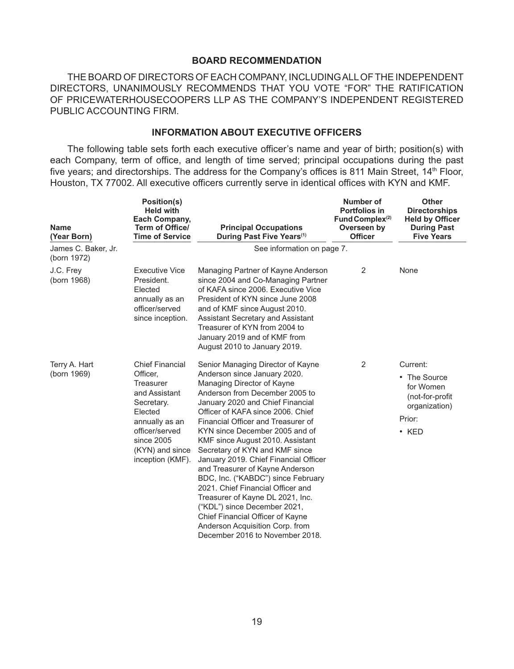# **BOARD RECOMMENDATION**

THE BOARD OF DIRECTORS OF EACH COMPANY, INCLUDING ALL OF THE INDEPENDENT DIRECTORS, UNANIMOUSLY RECOMMENDS THAT YOU VOTE "FOR" THE RATIFICATION OF PRICEWATERHOUSECOOPERS LLP AS THE COMPANY'S INDEPENDENT REGISTERED PUBLIC ACCOUNTING FIRM.

# **INFORMATION ABOUT EXECUTIVE OFFICERS**

The following table sets forth each executive officer's name and year of birth; position(s) with each Company, term of office, and length of time served; principal occupations during the past five years; and directorships. The address for the Company's offices is 811 Main Street, 14<sup>th</sup> Floor, Houston, TX 77002. All executive officers currently serve in identical offices with KYN and KMF.

| <b>Name</b><br>(Year Born)         | <b>Position(s)</b><br><b>Held with</b><br>Each Company,<br><b>Term of Office/</b><br><b>Time of Service</b>                                                                        | <b>Principal Occupations</b><br>During Past Five Years <sup>(1)</sup>                                                                                                                                                                                                                                                                                                                                                                                                                                                                                                                                                                                                                         | Number of<br><b>Portfolios in</b><br>Fund Complex <sup>(2)</sup><br>Overseen by<br><b>Officer</b> | <b>Other</b><br><b>Directorships</b><br><b>Held by Officer</b><br><b>During Past</b><br><b>Five Years</b> |
|------------------------------------|------------------------------------------------------------------------------------------------------------------------------------------------------------------------------------|-----------------------------------------------------------------------------------------------------------------------------------------------------------------------------------------------------------------------------------------------------------------------------------------------------------------------------------------------------------------------------------------------------------------------------------------------------------------------------------------------------------------------------------------------------------------------------------------------------------------------------------------------------------------------------------------------|---------------------------------------------------------------------------------------------------|-----------------------------------------------------------------------------------------------------------|
| James C. Baker, Jr.<br>(born 1972) |                                                                                                                                                                                    | See information on page 7.                                                                                                                                                                                                                                                                                                                                                                                                                                                                                                                                                                                                                                                                    |                                                                                                   |                                                                                                           |
| J.C. Frey<br>(born 1968)           | <b>Executive Vice</b><br>President.<br>Elected<br>annually as an<br>officer/served<br>since inception.                                                                             | Managing Partner of Kayne Anderson<br>since 2004 and Co-Managing Partner<br>of KAFA since 2006. Executive Vice<br>President of KYN since June 2008<br>and of KMF since August 2010.<br><b>Assistant Secretary and Assistant</b><br>Treasurer of KYN from 2004 to<br>January 2019 and of KMF from<br>August 2010 to January 2019.                                                                                                                                                                                                                                                                                                                                                              | 2                                                                                                 | None                                                                                                      |
| Terry A. Hart<br>(born 1969)       | <b>Chief Financial</b><br>Officer,<br>Treasurer<br>and Assistant<br>Secretary.<br>Elected<br>annually as an<br>officer/served<br>since 2005<br>(KYN) and since<br>inception (KMF). | Senior Managing Director of Kayne<br>Anderson since January 2020.<br>Managing Director of Kayne<br>Anderson from December 2005 to<br>January 2020 and Chief Financial<br>Officer of KAFA since 2006. Chief<br>Financial Officer and Treasurer of<br>KYN since December 2005 and of<br>KMF since August 2010. Assistant<br>Secretary of KYN and KMF since<br>January 2019. Chief Financial Officer<br>and Treasurer of Kayne Anderson<br>BDC, Inc. ("KABDC") since February<br>2021. Chief Financial Officer and<br>Treasurer of Kayne DL 2021, Inc.<br>("KDL") since December 2021,<br>Chief Financial Officer of Kayne<br>Anderson Acquisition Corp. from<br>December 2016 to November 2018. | 2                                                                                                 | Current:<br>• The Source<br>for Women<br>(not-for-profit<br>organization)<br>Prior:<br>$\cdot$ KED        |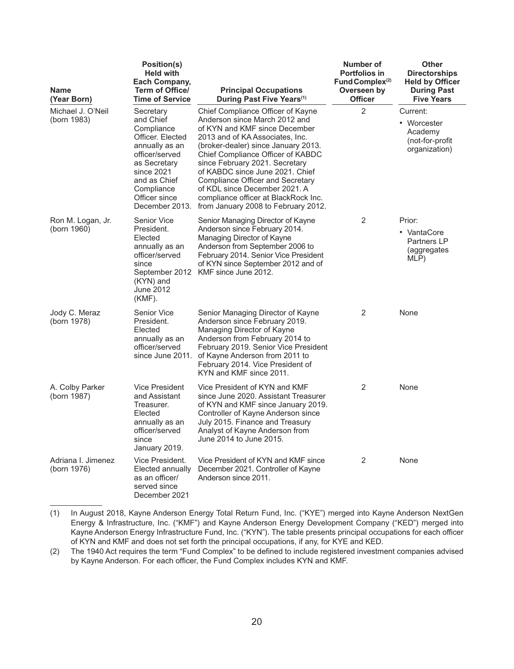| <b>Name</b><br>(Year Born)        | <b>Position(s)</b><br><b>Held with</b><br>Each Company,<br>Term of Office/<br><b>Time of Service</b>                                                                                        | <b>Principal Occupations</b><br>During Past Five Years <sup>(1)</sup>                                                                                                                                                                                                                                                                                                                                                                       | Number of<br><b>Portfolios in</b><br>Fund Complex $(2)$<br>Overseen by<br><b>Officer</b> | Other<br><b>Directorships</b><br><b>Held by Officer</b><br><b>During Past</b><br><b>Five Years</b> |
|-----------------------------------|---------------------------------------------------------------------------------------------------------------------------------------------------------------------------------------------|---------------------------------------------------------------------------------------------------------------------------------------------------------------------------------------------------------------------------------------------------------------------------------------------------------------------------------------------------------------------------------------------------------------------------------------------|------------------------------------------------------------------------------------------|----------------------------------------------------------------------------------------------------|
| Michael J. O'Neil<br>(born 1983)  | Secretary<br>and Chief<br>Compliance<br>Officer. Elected<br>annually as an<br>officer/served<br>as Secretary<br>since 2021<br>and as Chief<br>Compliance<br>Officer since<br>December 2013. | Chief Compliance Officer of Kayne<br>Anderson since March 2012 and<br>of KYN and KMF since December<br>2013 and of KA Associates, Inc.<br>(broker-dealer) since January 2013.<br>Chief Compliance Officer of KABDC<br>since February 2021. Secretary<br>of KABDC since June 2021. Chief<br>Compliance Officer and Secretary<br>of KDL since December 2021. A<br>compliance officer at BlackRock Inc.<br>from January 2008 to February 2012. | $\overline{2}$                                                                           | Current:<br>• Worcester<br>Academy<br>(not-for-profit)<br>organization)                            |
| Ron M. Logan, Jr.<br>(born 1960)  | <b>Senior Vice</b><br>President.<br>Elected<br>annually as an<br>officer/served<br>since<br>September 2012<br>(KYN) and<br>June 2012<br>(KMF).                                              | Senior Managing Director of Kayne<br>Anderson since February 2014.<br>Managing Director of Kayne<br>Anderson from September 2006 to<br>February 2014. Senior Vice President<br>of KYN since September 2012 and of<br>KMF since June 2012.                                                                                                                                                                                                   | 2                                                                                        | Prior:<br>• VantaCore<br>Partners LP<br>(aggregates<br>MLP)                                        |
| Jody C. Meraz<br>(born 1978)      | <b>Senior Vice</b><br>President.<br>Elected<br>annually as an<br>officer/served<br>since June 2011.                                                                                         | Senior Managing Director of Kayne<br>Anderson since February 2019.<br>Managing Director of Kayne<br>Anderson from February 2014 to<br>February 2019. Senior Vice President<br>of Kayne Anderson from 2011 to<br>February 2014. Vice President of<br>KYN and KMF since 2011.                                                                                                                                                                 | 2                                                                                        | None                                                                                               |
| A. Colby Parker<br>(born 1987)    | <b>Vice President</b><br>and Assistant<br>Treasurer.<br>Elected<br>annually as an<br>officer/served<br>since<br>January 2019.                                                               | Vice President of KYN and KMF<br>since June 2020. Assistant Treasurer<br>of KYN and KMF since January 2019.<br>Controller of Kayne Anderson since<br>July 2015. Finance and Treasury<br>Analyst of Kayne Anderson from<br>June 2014 to June 2015.                                                                                                                                                                                           | 2                                                                                        | None                                                                                               |
| Adriana I. Jimenez<br>(born 1976) | Vice President.<br>Elected annually<br>as an officer/<br>served since<br>December 2021                                                                                                      | Vice President of KYN and KMF since<br>December 2021. Controller of Kayne<br>Anderson since 2011.                                                                                                                                                                                                                                                                                                                                           | 2                                                                                        | None                                                                                               |

<sup>(1)</sup> In August 2018, Kayne Anderson Energy Total Return Fund, Inc. ("KYE") merged into Kayne Anderson NextGen Energy & Infrastructure, Inc. ("KMF") and Kayne Anderson Energy Development Company ("KED") merged into Kayne Anderson Energy Infrastructure Fund, Inc. ("KYN"). The table presents principal occupations for each officer of KYN and KMF and does not set forth the principal occupations, if any, for KYE and KED.

<sup>(2)</sup> The 1940 Act requires the term "Fund Complex" to be defined to include registered investment companies advised by Kayne Anderson. For each officer, the Fund Complex includes KYN and KMF.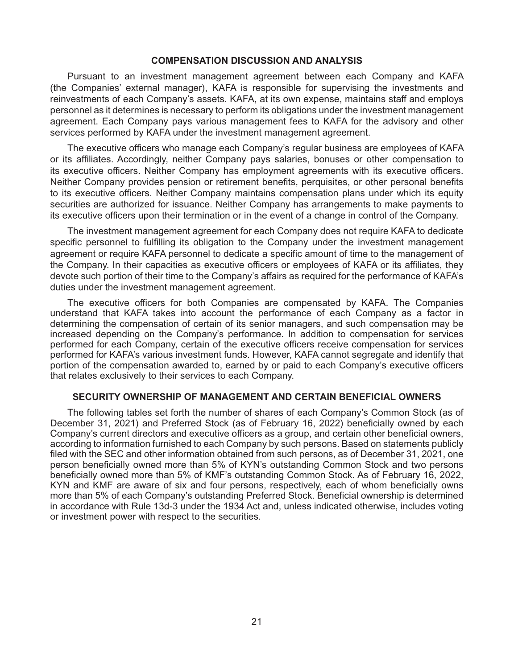#### **COMPENSATION DISCUSSION AND ANALYSIS**

Pursuant to an investment management agreement between each Company and KAFA (the Companies' external manager), KAFA is responsible for supervising the investments and reinvestments of each Company's assets. KAFA, at its own expense, maintains staff and employs personnel as it determines is necessary to perform its obligations under the investment management agreement. Each Company pays various management fees to KAFA for the advisory and other services performed by KAFA under the investment management agreement.

The executive officers who manage each Company's regular business are employees of KAFA or its affiliates. Accordingly, neither Company pays salaries, bonuses or other compensation to its executive officers. Neither Company has employment agreements with its executive officers. Neither Company provides pension or retirement benefits, perquisites, or other personal benefits to its executive officers. Neither Company maintains compensation plans under which its equity securities are authorized for issuance. Neither Company has arrangements to make payments to its executive officers upon their termination or in the event of a change in control of the Company.

The investment management agreement for each Company does not require KAFA to dedicate specific personnel to fulfilling its obligation to the Company under the investment management agreement or require KAFA personnel to dedicate a specific amount of time to the management of the Company. In their capacities as executive officers or employees of KAFA or its affiliates, they devote such portion of their time to the Company's affairs as required for the performance of KAFA's duties under the investment management agreement.

The executive officers for both Companies are compensated by KAFA. The Companies understand that KAFA takes into account the performance of each Company as a factor in determining the compensation of certain of its senior managers, and such compensation may be increased depending on the Company's performance. In addition to compensation for services performed for each Company, certain of the executive officers receive compensation for services performed for KAFA's various investment funds. However, KAFA cannot segregate and identify that portion of the compensation awarded to, earned by or paid to each Company's executive officers that relates exclusively to their services to each Company.

# **SECURITY OWNERSHIP OF MANAGEMENT AND CERTAIN BENEFICIAL OWNERS**

The following tables set forth the number of shares of each Company's Common Stock (as of December 31, 2021) and Preferred Stock (as of February 16, 2022) beneficially owned by each Company's current directors and executive officers as a group, and certain other beneficial owners, according to information furnished to each Company by such persons. Based on statements publicly filed with the SEC and other information obtained from such persons, as of December 31, 2021, one person beneficially owned more than 5% of KYN's outstanding Common Stock and two persons beneficially owned more than 5% of KMF's outstanding Common Stock. As of February 16, 2022, KYN and KMF are aware of six and four persons, respectively, each of whom beneficially owns more than 5% of each Company's outstanding Preferred Stock. Beneficial ownership is determined in accordance with Rule 13d-3 under the 1934 Act and, unless indicated otherwise, includes voting or investment power with respect to the securities.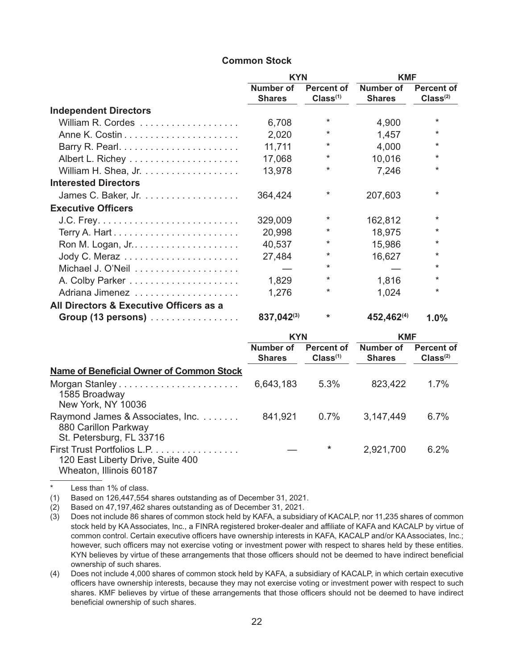# **Common Stock**

|                                         | <b>KYN</b>                 |                                           | <b>KMF</b>                 |                                           |
|-----------------------------------------|----------------------------|-------------------------------------------|----------------------------|-------------------------------------------|
|                                         | Number of<br><b>Shares</b> | <b>Percent of</b><br>Class <sup>(1)</sup> | Number of<br><b>Shares</b> | <b>Percent of</b><br>Class <sup>(2)</sup> |
| <b>Independent Directors</b>            |                            |                                           |                            |                                           |
|                                         | 6,708                      | $^\star$                                  | 4,900                      | $\ast$                                    |
|                                         | 2,020                      | *                                         | 1,457                      | $\star$                                   |
|                                         | 11,711                     | *                                         | 4,000                      | $\star$                                   |
|                                         | 17,068                     | $\ast$                                    | 10,016                     | $^\star$                                  |
|                                         | 13,978                     | $^\star$                                  | 7,246                      | $^\star$                                  |
| <b>Interested Directors</b>             |                            |                                           |                            |                                           |
|                                         | 364,424                    | $^\star$                                  | 207,603                    | $^\star$                                  |
| <b>Executive Officers</b>               |                            |                                           |                            |                                           |
|                                         | 329,009                    | *                                         | 162,812                    | $\star$                                   |
|                                         | 20,998                     | *                                         | 18,975                     | $^\star$                                  |
|                                         | 40,537                     | *                                         | 15,986                     | $^\star$                                  |
|                                         | 27,484                     | $\ast$                                    | 16,627                     | $\ast$                                    |
|                                         |                            | $^\star$                                  |                            | $\star$                                   |
|                                         | 1,829                      | *                                         | 1,816                      | $\star$                                   |
| Adriana Jimenez                         | 1,276                      | $^\star$                                  | 1,024                      | $\ast$                                    |
| All Directors & Executive Officers as a |                            |                                           |                            |                                           |
| Group (13 persons)                      | 837,042(3)                 | $\ast$                                    | 452,462(4)                 | 1.0%                                      |

|                                                                                             | <b>KYN</b>                 |                                           | <b>KMF</b>                 |                                    |
|---------------------------------------------------------------------------------------------|----------------------------|-------------------------------------------|----------------------------|------------------------------------|
|                                                                                             | Number of<br><b>Shares</b> | <b>Percent of</b><br>Class <sup>(1)</sup> | Number of<br><b>Shares</b> | Percent of<br>Class <sup>(2)</sup> |
| <b>Name of Beneficial Owner of Common Stock</b>                                             |                            |                                           |                            |                                    |
| 1585 Broadway<br>New York, NY 10036                                                         | 6,643,183                  | $5.3\%$                                   | 823,422                    | 1.7%                               |
| Raymond James & Associates, Inc.<br>880 Carillon Parkway<br>St. Petersburg, FL 33716        | 841,921                    | 0.7%                                      | 3,147,449                  | 6.7%                               |
| First Trust Portfolios L.P.<br>120 East Liberty Drive, Suite 400<br>Wheaton, Illinois 60187 |                            | *                                         | 2,921,700                  | 6.2%                               |

Less than 1% of class.

(1) Based on 126,447,554 shares outstanding as of December 31, 2021.

(2) Based on 47,197,462 shares outstanding as of December 31, 2021.

- (3) Does not include 86 shares of common stock held by KAFA, a subsidiary of KACALP, nor 11,235 shares of common stock held by KA Associates, Inc., a FINRA registered broker-dealer and affiliate of KAFA and KACALP by virtue of common control. Certain executive officers have ownership interests in KAFA, KACALP and/or KA Associates, Inc.; however, such officers may not exercise voting or investment power with respect to shares held by these entities. KYN believes by virtue of these arrangements that those officers should not be deemed to have indirect beneficial ownership of such shares.
- (4) Does not include 4,000 shares of common stock held by KAFA, a subsidiary of KACALP, in which certain executive officers have ownership interests, because they may not exercise voting or investment power with respect to such shares. KMF believes by virtue of these arrangements that those officers should not be deemed to have indirect beneficial ownership of such shares.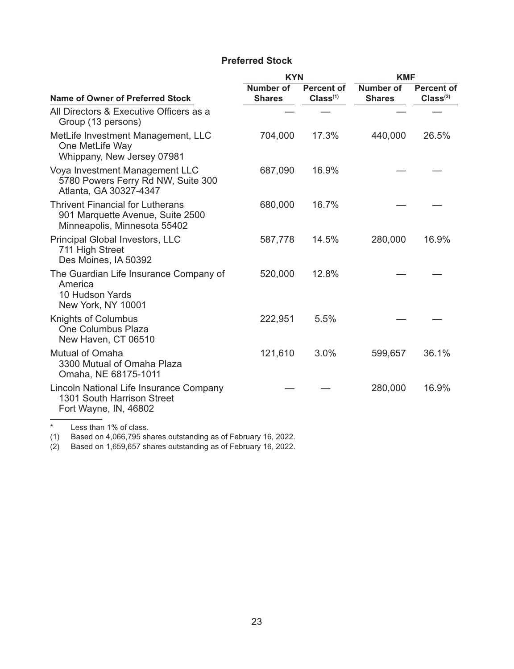# **Preferred Stock**

|                                                                                                             | <b>KYN</b>                 |                                           | <b>KMF</b>                        |                                           |  |
|-------------------------------------------------------------------------------------------------------------|----------------------------|-------------------------------------------|-----------------------------------|-------------------------------------------|--|
| <b>Name of Owner of Preferred Stock</b>                                                                     | Number of<br><b>Shares</b> | <b>Percent of</b><br>Class <sup>(1)</sup> | <b>Number of</b><br><b>Shares</b> | <b>Percent of</b><br>Class <sup>(2)</sup> |  |
| All Directors & Executive Officers as a<br>Group (13 persons)                                               |                            |                                           |                                   |                                           |  |
| MetLife Investment Management, LLC<br>One MetLife Way<br>Whippany, New Jersey 07981                         | 704,000                    | 17.3%                                     | 440,000                           | 26.5%                                     |  |
| Voya Investment Management LLC<br>5780 Powers Ferry Rd NW, Suite 300<br>Atlanta, GA 30327-4347              | 687,090                    | 16.9%                                     |                                   |                                           |  |
| <b>Thrivent Financial for Lutherans</b><br>901 Marquette Avenue, Suite 2500<br>Minneapolis, Minnesota 55402 | 680,000                    | 16.7%                                     |                                   |                                           |  |
| Principal Global Investors, LLC<br>711 High Street<br>Des Moines, IA 50392                                  | 587,778                    | 14.5%                                     | 280,000                           | 16.9%                                     |  |
| The Guardian Life Insurance Company of<br>America<br>10 Hudson Yards<br>New York, NY 10001                  | 520,000                    | 12.8%                                     |                                   |                                           |  |
| <b>Knights of Columbus</b><br>One Columbus Plaza<br>New Haven, CT 06510                                     | 222,951                    | 5.5%                                      |                                   |                                           |  |
| Mutual of Omaha<br>3300 Mutual of Omaha Plaza<br>Omaha, NE 68175-1011                                       | 121,610                    | 3.0%                                      | 599,657                           | 36.1%                                     |  |
| Lincoln National Life Insurance Company<br>1301 South Harrison Street<br>Fort Wayne, IN, 46802              |                            |                                           | 280,000                           | 16.9%                                     |  |
|                                                                                                             |                            |                                           |                                   |                                           |  |

\* Less than 1% of class.

(1) Based on 4,066,795 shares outstanding as of February 16, 2022.

(2) Based on 1,659,657 shares outstanding as of February 16, 2022.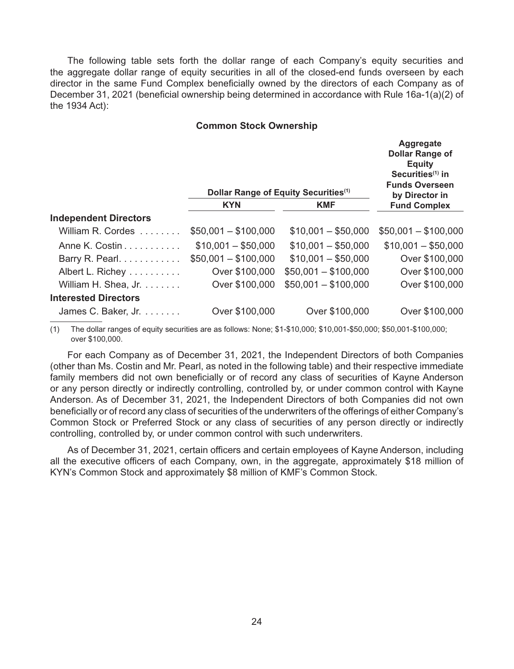The following table sets forth the dollar range of each Company's equity securities and the aggregate dollar range of equity securities in all of the closed-end funds overseen by each director in the same Fund Complex beneficially owned by the directors of each Company as of December 31, 2021 (beneficial ownership being determined in accordance with Rule 16a-1(a)(2) of the 1934 Act):

#### **Common Stock Ownership**

|                      |                      | Aggregate<br><b>Dollar Range of</b><br><b>Equity</b><br>Securities $(1)$ in<br><b>Funds Overseen</b><br>by Director in |
|----------------------|----------------------|------------------------------------------------------------------------------------------------------------------------|
| <b>KYN</b>           | <b>KMF</b>           | <b>Fund Complex</b>                                                                                                    |
|                      |                      |                                                                                                                        |
| $$50,001 - $100,000$ | $$10,001 - $50,000$  | $$50,001 - $100,000$                                                                                                   |
| $$10,001 - $50,000$  | $$10,001 - $50,000$  | $$10,001 - $50,000$                                                                                                    |
| $$50,001 - $100,000$ | $$10,001 - $50,000$  | Over \$100,000                                                                                                         |
| Over \$100,000       | $$50,001 - $100,000$ | Over \$100,000                                                                                                         |
| Over \$100,000       | $$50,001 - $100,000$ | Over \$100,000                                                                                                         |
|                      |                      |                                                                                                                        |
| Over \$100,000       | Over \$100,000       | Over \$100,000                                                                                                         |
|                      |                      | Dollar Range of Equity Securities <sup>(1)</sup>                                                                       |

(1) The dollar ranges of equity securities are as follows: None; \$1-\$10,000; \$10,001-\$50,000; \$50,001-\$100,000; over \$100,000.

For each Company as of December 31, 2021, the Independent Directors of both Companies (other than Ms. Costin and Mr. Pearl, as noted in the following table) and their respective immediate family members did not own beneficially or of record any class of securities of Kayne Anderson or any person directly or indirectly controlling, controlled by, or under common control with Kayne Anderson. As of December 31, 2021, the Independent Directors of both Companies did not own beneficially or of record any class of securities of the underwriters of the offerings of either Company's Common Stock or Preferred Stock or any class of securities of any person directly or indirectly controlling, controlled by, or under common control with such underwriters.

As of December 31, 2021, certain officers and certain employees of Kayne Anderson, including all the executive officers of each Company, own, in the aggregate, approximately \$18 million of KYN's Common Stock and approximately \$8 million of KMF's Common Stock.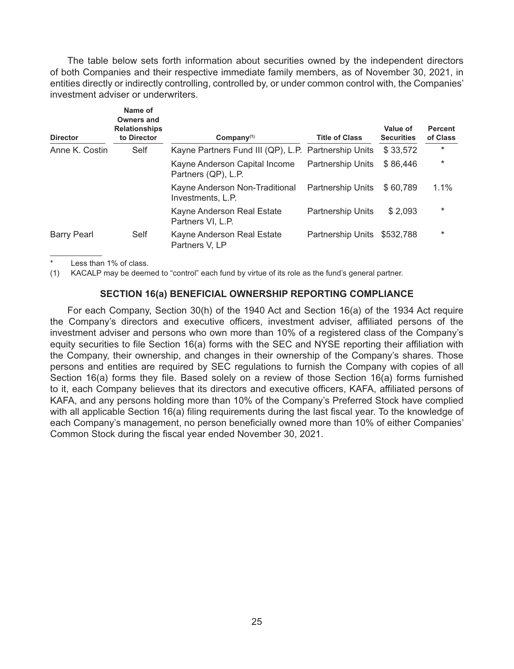The table below sets forth information about securities owned by the independent directors of both Companies and their respective immediate family members, as of November 30, 2021, in entities directly or indirectly controlling, controlled by, or under common control with, the Companies' investment adviser or underwriters.

| <b>Director</b>    | Name of<br><b>Owners and</b><br><b>Relationships</b><br>to Director | $Commonov^{(1)}$                                     | <b>Title of Class</b>    | Value of<br><b>Securities</b> | <b>Percent</b><br>of Class |
|--------------------|---------------------------------------------------------------------|------------------------------------------------------|--------------------------|-------------------------------|----------------------------|
| Anne K. Costin     | Self                                                                | Kayne Partners Fund III (QP), L.P. Partnership Units |                          | \$33,572                      | $\ast$                     |
|                    |                                                                     | Kayne Anderson Capital Income<br>Partners (QP), L.P. | <b>Partnership Units</b> | \$86,446                      | $\ast$                     |
|                    |                                                                     | Kayne Anderson Non-Traditional<br>Investments, L.P.  | <b>Partnership Units</b> | \$60.789                      | 1.1%                       |
|                    |                                                                     | Kayne Anderson Real Estate<br>Partners VI, L.P.      | <b>Partnership Units</b> | \$2,093                       | $\ast$                     |
| <b>Barry Pearl</b> | Self                                                                | Kayne Anderson Real Estate<br>Partners V, LP         | <b>Partnership Units</b> | \$532.788                     | $^\star$                   |

Less than 1% of class.

(1) KACALP may be deemed to "control" each fund by virtue of its role as the fund's general partner.

# **SECTION 16(a) BENEFICIAL OWNERSHIP REPORTING COMPLIANCE**

For each Company, Section 30(h) of the 1940 Act and Section 16(a) of the 1934 Act require the Company's directors and executive officers, investment adviser, affiliated persons of the investment adviser and persons who own more than 10% of a registered class of the Company's equity securities to file Section 16(a) forms with the SEC and NYSE reporting their affiliation with the Company, their ownership, and changes in their ownership of the Company's shares. Those persons and entities are required by SEC regulations to furnish the Company with copies of all Section 16(a) forms they file. Based solely on a review of those Section 16(a) forms furnished to it, each Company believes that its directors and executive officers, KAFA, affiliated persons of KAFA, and any persons holding more than 10% of the Company's Preferred Stock have complied with all applicable Section 16(a) filing requirements during the last fiscal year. To the knowledge of each Company's management, no person beneficially owned more than 10% of either Companies' Common Stock during the fiscal year ended November 30, 2021.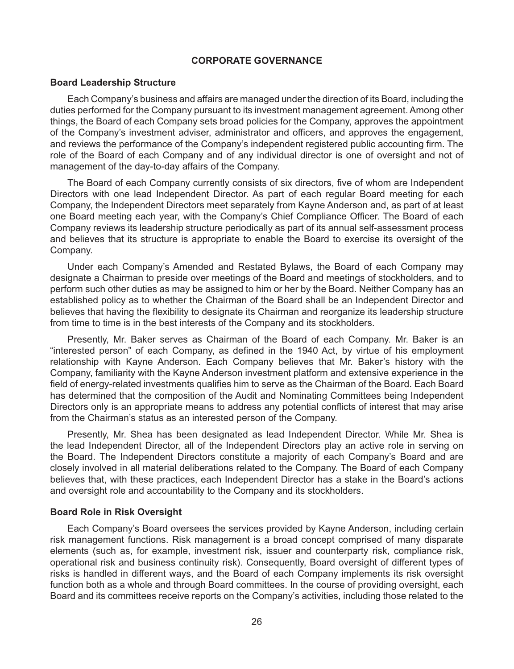# **CORPORATE GOVERNANCE**

#### **Board Leadership Structure**

Each Company's business and affairs are managed under the direction of its Board, including the duties performed for the Company pursuant to its investment management agreement. Among other things, the Board of each Company sets broad policies for the Company, approves the appointment of the Company's investment adviser, administrator and officers, and approves the engagement, and reviews the performance of the Company's independent registered public accounting firm. The role of the Board of each Company and of any individual director is one of oversight and not of management of the day-to-day affairs of the Company.

The Board of each Company currently consists of six directors, five of whom are Independent Directors with one lead Independent Director. As part of each regular Board meeting for each Company, the Independent Directors meet separately from Kayne Anderson and, as part of at least one Board meeting each year, with the Company's Chief Compliance Officer. The Board of each Company reviews its leadership structure periodically as part of its annual self-assessment process and believes that its structure is appropriate to enable the Board to exercise its oversight of the Company.

Under each Company's Amended and Restated Bylaws, the Board of each Company may designate a Chairman to preside over meetings of the Board and meetings of stockholders, and to perform such other duties as may be assigned to him or her by the Board. Neither Company has an established policy as to whether the Chairman of the Board shall be an Independent Director and believes that having the flexibility to designate its Chairman and reorganize its leadership structure from time to time is in the best interests of the Company and its stockholders.

Presently, Mr. Baker serves as Chairman of the Board of each Company. Mr. Baker is an "interested person" of each Company, as defined in the 1940 Act, by virtue of his employment relationship with Kayne Anderson. Each Company believes that Mr. Baker's history with the Company, familiarity with the Kayne Anderson investment platform and extensive experience in the field of energy-related investments qualifies him to serve as the Chairman of the Board. Each Board has determined that the composition of the Audit and Nominating Committees being Independent Directors only is an appropriate means to address any potential conflicts of interest that may arise from the Chairman's status as an interested person of the Company.

Presently, Mr. Shea has been designated as lead Independent Director. While Mr. Shea is the lead Independent Director, all of the Independent Directors play an active role in serving on the Board. The Independent Directors constitute a majority of each Company's Board and are closely involved in all material deliberations related to the Company. The Board of each Company believes that, with these practices, each Independent Director has a stake in the Board's actions and oversight role and accountability to the Company and its stockholders.

# **Board Role in Risk Oversight**

Each Company's Board oversees the services provided by Kayne Anderson, including certain risk management functions. Risk management is a broad concept comprised of many disparate elements (such as, for example, investment risk, issuer and counterparty risk, compliance risk, operational risk and business continuity risk). Consequently, Board oversight of different types of risks is handled in different ways, and the Board of each Company implements its risk oversight function both as a whole and through Board committees. In the course of providing oversight, each Board and its committees receive reports on the Company's activities, including those related to the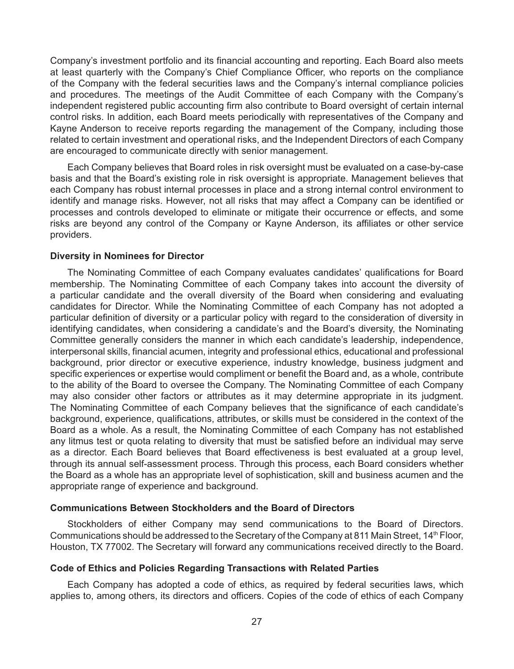Company's investment portfolio and its financial accounting and reporting. Each Board also meets at least quarterly with the Company's Chief Compliance Officer, who reports on the compliance of the Company with the federal securities laws and the Company's internal compliance policies and procedures. The meetings of the Audit Committee of each Company with the Company's independent registered public accounting firm also contribute to Board oversight of certain internal control risks. In addition, each Board meets periodically with representatives of the Company and Kayne Anderson to receive reports regarding the management of the Company, including those related to certain investment and operational risks, and the Independent Directors of each Company are encouraged to communicate directly with senior management.

Each Company believes that Board roles in risk oversight must be evaluated on a case-by-case basis and that the Board's existing role in risk oversight is appropriate. Management believes that each Company has robust internal processes in place and a strong internal control environment to identify and manage risks. However, not all risks that may affect a Company can be identified or processes and controls developed to eliminate or mitigate their occurrence or effects, and some risks are beyond any control of the Company or Kayne Anderson, its affiliates or other service providers.

# **Diversity in Nominees for Director**

The Nominating Committee of each Company evaluates candidates' qualifications for Board membership. The Nominating Committee of each Company takes into account the diversity of a particular candidate and the overall diversity of the Board when considering and evaluating candidates for Director. While the Nominating Committee of each Company has not adopted a particular definition of diversity or a particular policy with regard to the consideration of diversity in identifying candidates, when considering a candidate's and the Board's diversity, the Nominating Committee generally considers the manner in which each candidate's leadership, independence, interpersonal skills, financial acumen, integrity and professional ethics, educational and professional background, prior director or executive experience, industry knowledge, business judgment and specific experiences or expertise would compliment or benefit the Board and, as a whole, contribute to the ability of the Board to oversee the Company. The Nominating Committee of each Company may also consider other factors or attributes as it may determine appropriate in its judgment. The Nominating Committee of each Company believes that the significance of each candidate's background, experience, qualifications, attributes, or skills must be considered in the context of the Board as a whole. As a result, the Nominating Committee of each Company has not established any litmus test or quota relating to diversity that must be satisfied before an individual may serve as a director. Each Board believes that Board effectiveness is best evaluated at a group level, through its annual self-assessment process. Through this process, each Board considers whether the Board as a whole has an appropriate level of sophistication, skill and business acumen and the appropriate range of experience and background.

# **Communications Between Stockholders and the Board of Directors**

Stockholders of either Company may send communications to the Board of Directors. Communications should be addressed to the Secretary of the Company at 811 Main Street, 14<sup>th</sup> Floor, Houston, TX 77002. The Secretary will forward any communications received directly to the Board.

# **Code of Ethics and Policies Regarding Transactions with Related Parties**

Each Company has adopted a code of ethics, as required by federal securities laws, which applies to, among others, its directors and officers. Copies of the code of ethics of each Company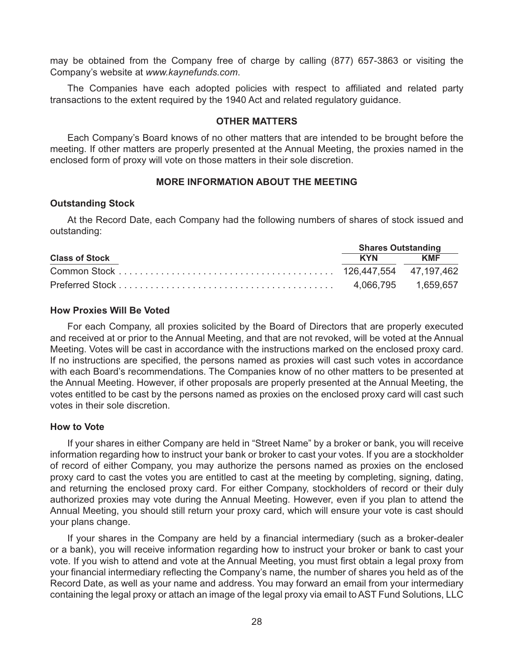may be obtained from the Company free of charge by calling (877) 657-3863 or visiting the Company's website at *[www.kaynefunds.com](http://www.kaynefunds.com/)*.

The Companies have each adopted policies with respect to affiliated and related party transactions to the extent required by the 1940 Act and related regulatory guidance.

# **OTHER MATTERS**

Each Company's Board knows of no other matters that are intended to be brought before the meeting. If other matters are properly presented at the Annual Meeting, the proxies named in the enclosed form of proxy will vote on those matters in their sole discretion.

# **MORE INFORMATION ABOUT THE MEETING**

# **Outstanding Stock**

At the Record Date, each Company had the following numbers of shares of stock issued and outstanding:

|                       | <b>Shares Outstanding</b> |            |  |  |
|-----------------------|---------------------------|------------|--|--|
| <b>Class of Stock</b> | <b>KYN</b>                | <b>KMF</b> |  |  |
|                       |                           |            |  |  |
|                       |                           |            |  |  |

# **How Proxies Will Be Voted**

For each Company, all proxies solicited by the Board of Directors that are properly executed and received at or prior to the Annual Meeting, and that are not revoked, will be voted at the Annual Meeting. Votes will be cast in accordance with the instructions marked on the enclosed proxy card. If no instructions are specified, the persons named as proxies will cast such votes in accordance with each Board's recommendations. The Companies know of no other matters to be presented at the Annual Meeting. However, if other proposals are properly presented at the Annual Meeting, the votes entitled to be cast by the persons named as proxies on the enclosed proxy card will cast such votes in their sole discretion.

#### **How to Vote**

If your shares in either Company are held in "Street Name" by a broker or bank, you will receive information regarding how to instruct your bank or broker to cast your votes. If you are a stockholder of record of either Company, you may authorize the persons named as proxies on the enclosed proxy card to cast the votes you are entitled to cast at the meeting by completing, signing, dating, and returning the enclosed proxy card. For either Company, stockholders of record or their duly authorized proxies may vote during the Annual Meeting. However, even if you plan to attend the Annual Meeting, you should still return your proxy card, which will ensure your vote is cast should your plans change.

If your shares in the Company are held by a financial intermediary (such as a broker-dealer or a bank), you will receive information regarding how to instruct your broker or bank to cast your vote. If you wish to attend and vote at the Annual Meeting, you must first obtain a legal proxy from your financial intermediary reflecting the Company's name, the number of shares you held as of the Record Date, as well as your name and address. You may forward an email from your intermediary containing the legal proxy or attach an image of the legal proxy via email to AST Fund Solutions, LLC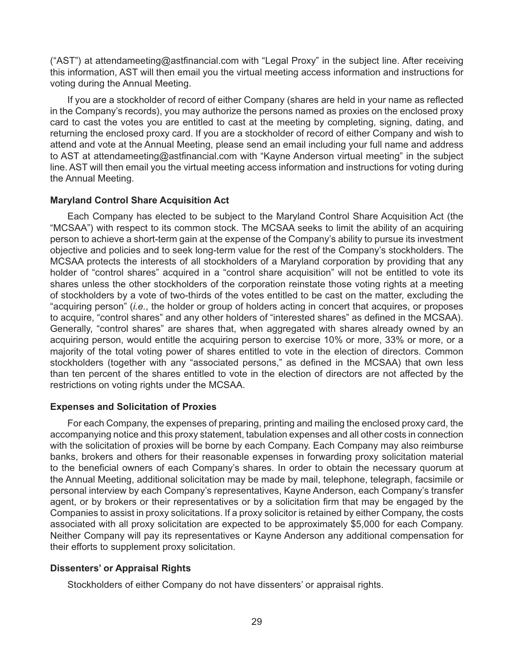("AST") at [attendameeting@astfinancial.com w](mailto:attendameeting@astfinancial.com)ith "Legal Proxy" in the subject line. After receiving this information, AST will then email you the virtual meeting access information and instructions for voting during the Annual Meeting.

If you are a stockholder of record of either Company (shares are held in your name as reflected in the Company's records), you may authorize the persons named as proxies on the enclosed proxy card to cast the votes you are entitled to cast at the meeting by completing, signing, dating, and returning the enclosed proxy card. If you are a stockholder of record of either Company and wish to attend and vote at the Annual Meeting, please send an email including your full name and address to AST at [attendameeting@astfinancial.com w](mailto:attendameeting@astfinancial.com)ith "Kayne Anderson virtual meeting" in the subject line. AST will then email you the virtual meeting access information and instructions for voting during the Annual Meeting.

# **Maryland Control Share Acquisition Act**

Each Company has elected to be subject to the Maryland Control Share Acquisition Act (the "MCSAA") with respect to its common stock. The MCSAA seeks to limit the ability of an acquiring person to achieve a short-term gain at the expense of the Company's ability to pursue its investment objective and policies and to seek long-term value for the rest of the Company's stockholders. The MCSAA protects the interests of all stockholders of a Maryland corporation by providing that any holder of "control shares" acquired in a "control share acquisition" will not be entitled to vote its shares unless the other stockholders of the corporation reinstate those voting rights at a meeting of stockholders by a vote of two-thirds of the votes entitled to be cast on the matter, excluding the "acquiring person" (*i.e.*, the holder or group of holders acting in concert that acquires, or proposes to acquire, "control shares" and any other holders of "interested shares" as defined in the MCSAA). Generally, "control shares" are shares that, when aggregated with shares already owned by an acquiring person, would entitle the acquiring person to exercise 10% or more, 33% or more, or a majority of the total voting power of shares entitled to vote in the election of directors. Common stockholders (together with any "associated persons," as defined in the MCSAA) that own less than ten percent of the shares entitled to vote in the election of directors are not affected by the restrictions on voting rights under the MCSAA.

## **Expenses and Solicitation of Proxies**

For each Company, the expenses of preparing, printing and mailing the enclosed proxy card, the accompanying notice and this proxy statement, tabulation expenses and all other costs in connection with the solicitation of proxies will be borne by each Company. Each Company may also reimburse banks, brokers and others for their reasonable expenses in forwarding proxy solicitation material to the beneficial owners of each Company's shares. In order to obtain the necessary quorum at the Annual Meeting, additional solicitation may be made by mail, telephone, telegraph, facsimile or personal interview by each Company's representatives, Kayne Anderson, each Company's transfer agent, or by brokers or their representatives or by a solicitation firm that may be engaged by the Companies to assist in proxy solicitations. If a proxy solicitor is retained by either Company, the costs associated with all proxy solicitation are expected to be approximately \$5,000 for each Company. Neither Company will pay its representatives or Kayne Anderson any additional compensation for their efforts to supplement proxy solicitation.

# **Dissenters' or Appraisal Rights**

Stockholders of either Company do not have dissenters' or appraisal rights.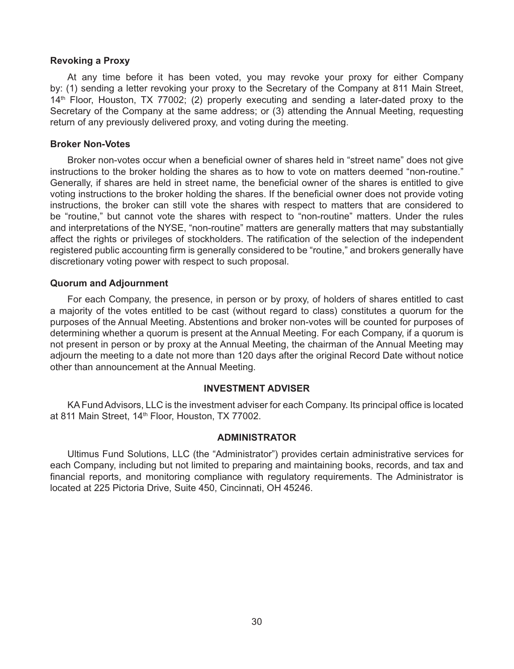# **Revoking a Proxy**

At any time before it has been voted, you may revoke your proxy for either Company by: (1) sending a letter revoking your proxy to the Secretary of the Company at 811 Main Street,  $14<sup>th</sup>$  Floor, Houston, TX 77002; (2) properly executing and sending a later-dated proxy to the Secretary of the Company at the same address; or (3) attending the Annual Meeting, requesting return of any previously delivered proxy, and voting during the meeting.

### **Broker Non-Votes**

Broker non-votes occur when a beneficial owner of shares held in "street name" does not give instructions to the broker holding the shares as to how to vote on matters deemed "non-routine." Generally, if shares are held in street name, the beneficial owner of the shares is entitled to give voting instructions to the broker holding the shares. If the beneficial owner does not provide voting instructions, the broker can still vote the shares with respect to matters that are considered to be "routine," but cannot vote the shares with respect to "non-routine" matters. Under the rules and interpretations of the NYSE, "non-routine" matters are generally matters that may substantially affect the rights or privileges of stockholders. The ratification of the selection of the independent registered public accounting firm is generally considered to be "routine," and brokers generally have discretionary voting power with respect to such proposal.

#### **Quorum and Adjournment**

For each Company, the presence, in person or by proxy, of holders of shares entitled to cast a majority of the votes entitled to be cast (without regard to class) constitutes a quorum for the purposes of the Annual Meeting. Abstentions and broker non-votes will be counted for purposes of determining whether a quorum is present at the Annual Meeting. For each Company, if a quorum is not present in person or by proxy at the Annual Meeting, the chairman of the Annual Meeting may adjourn the meeting to a date not more than 120 days after the original Record Date without notice other than announcement at the Annual Meeting.

# **INVESTMENT ADVISER**

KA Fund Advisors, LLC is the investment adviser for each Company. Its principal office is located at 811 Main Street, 14<sup>th</sup> Floor, Houston, TX 77002.

#### **ADMINISTRATOR**

Ultimus Fund Solutions, LLC (the "Administrator") provides certain administrative services for each Company, including but not limited to preparing and maintaining books, records, and tax and financial reports, and monitoring compliance with regulatory requirements. The Administrator is located at 225 Pictoria Drive, Suite 450, Cincinnati, OH 45246.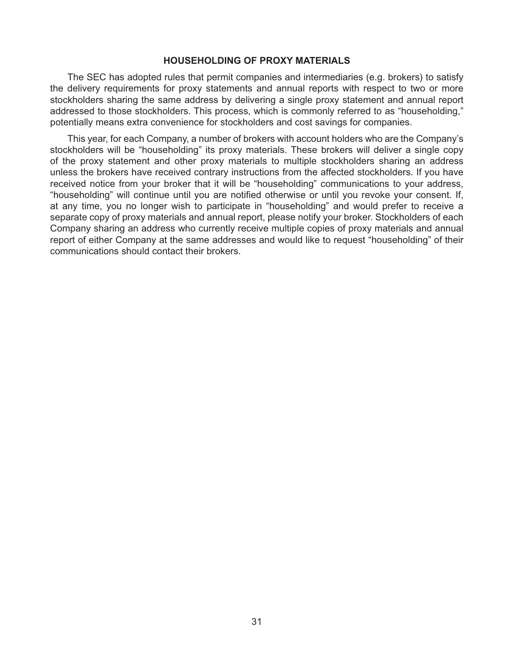# **HOUSEHOLDING OF PROXY MATERIALS**

The SEC has adopted rules that permit companies and intermediaries (e.g. brokers) to satisfy the delivery requirements for proxy statements and annual reports with respect to two or more stockholders sharing the same address by delivering a single proxy statement and annual report addressed to those stockholders. This process, which is commonly referred to as "householding," potentially means extra convenience for stockholders and cost savings for companies.

This year, for each Company, a number of brokers with account holders who are the Company's stockholders will be "householding" its proxy materials. These brokers will deliver a single copy of the proxy statement and other proxy materials to multiple stockholders sharing an address unless the brokers have received contrary instructions from the affected stockholders. If you have received notice from your broker that it will be "householding" communications to your address, "householding" will continue until you are notified otherwise or until you revoke your consent. If, at any time, you no longer wish to participate in "householding" and would prefer to receive a separate copy of proxy materials and annual report, please notify your broker. Stockholders of each Company sharing an address who currently receive multiple copies of proxy materials and annual report of either Company at the same addresses and would like to request "householding" of their communications should contact their brokers.